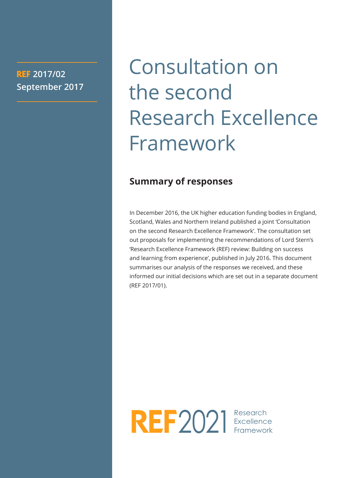## **REF 2017/02 September 2017**

## Consultation on the second Research Excellence Framework

## **Summary of responses**

In December 2016, the UK higher education funding bodies in England, Scotland, Wales and Northern Ireland published a joint 'Consultation on the second Research Excellence Framework'. The consultation set out proposals for implementing the recommendations of Lord Stern's 'Research Excellence Framework (REF) review: Building on success and learning from experience', published in July 2016. This document summarises our analysis of the responses we received, and these informed our initial decisions which are set out in a separate document (REF 2017/01).

2021 Research

**Excellence** Framework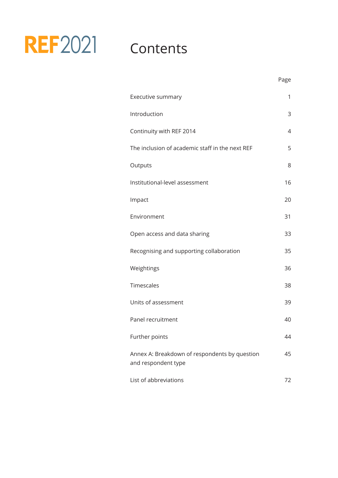#### 2021 Contents Excellence Framework

|                                                                      | Page |
|----------------------------------------------------------------------|------|
| Executive summary                                                    | 1    |
| Introduction                                                         | 3    |
| Continuity with REF 2014                                             | 4    |
| The inclusion of academic staff in the next REF                      | 5    |
| Outputs                                                              | 8    |
| Institutional-level assessment                                       | 16   |
| Impact                                                               | 20   |
| Environment                                                          | 31   |
| Open access and data sharing                                         | 33   |
| Recognising and supporting collaboration                             | 35   |
| Weightings                                                           | 36   |
| Timescales                                                           | 38   |
| Units of assessment                                                  | 39   |
| Panel recruitment                                                    | 40   |
| Further points                                                       | 44   |
| Annex A: Breakdown of respondents by question<br>and respondent type | 45   |
| List of abbreviations                                                | 72   |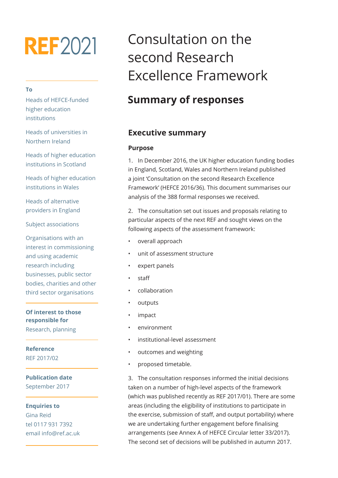# **REF2021**

#### **To**

Heads of HEFCE-funded higher education institutions

Heads of universities in Northern Ireland

Heads of higher education institutions in Scotland

Heads of higher education institutions in Wales

Heads of alternative providers in England

Subject associations

Organisations with an interest in commissioning and using academic research including businesses, public sector bodies, charities and other third sector organisations

**Of interest to those responsible for** Research, planning

**Reference** REF 2017/02

**Publication date** September 2017

**Enquiries to** Gina Reid tel 0117 931 7392 email info@ref.ac.uk

## Consultation on the second Research Excellence Framework Excellence

## **Summary of responses**

#### **Executive summary**

#### **Purpose**

1. In December 2016, the UK higher education funding bodies in England, Scotland, Wales and Northern Ireland published a joint 'Consultation on the second Research Excellence Framework' (HEFCE 2016/36). This document summarises our analysis of the 388 formal responses we received.

2. The consultation set out issues and proposals relating to particular aspects of the next REF and sought views on the following aspects of the assessment framework:

- overall approach
- unit of assessment structure
- expert panels
- staff
- collaboration
- outputs
- impact
- environment
- institutional-level assessment
- outcomes and weighting
- proposed timetable.

3. The consultation responses informed the initial decisions taken on a number of high-level aspects of the framework (which was published recently as REF 2017/01). There are some areas (including the eligibility of institutions to participate in the exercise, submission of staff, and output portability) where we are undertaking further engagement before finalising arrangements (see Annex A of HEFCE Circular letter 33/2017). The second set of decisions will be published in autumn 2017.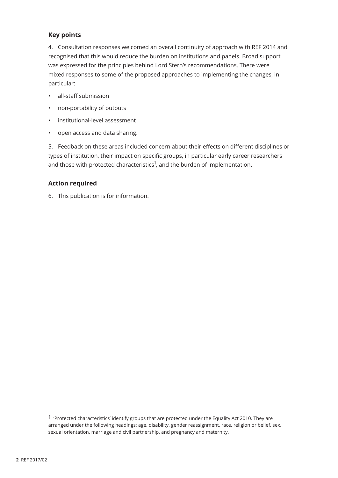#### **Key points**

4. Consultation responses welcomed an overall continuity of approach with REF 2014 and recognised that this would reduce the burden on institutions and panels. Broad support was expressed for the principles behind Lord Stern's recommendations. There were mixed responses to some of the proposed approaches to implementing the changes, in particular:

- all-staff submission
- non-portability of outputs
- institutional-level assessment
- open access and data sharing.

5. Feedback on these areas included concern about their effects on different disciplines or types of institution, their impact on specific groups, in particular early career researchers and those with protected characteristics<sup>1</sup>, and the burden of implementation.

#### **Action required**

6. This publication is for information.

<sup>1 &#</sup>x27;Protected characteristics' identify groups that are protected under the Equality Act 2010. They are arranged under the following headings: age, disability, gender reassignment, race, religion or belief, sex, sexual orientation, marriage and civil partnership, and pregnancy and maternity.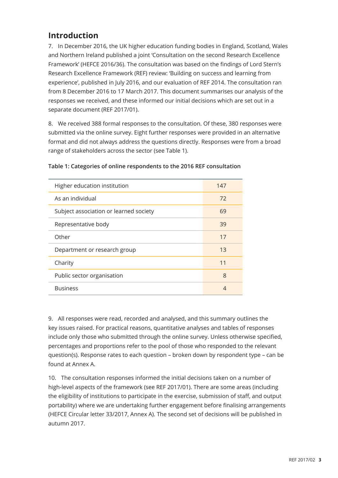## **Introduction**

7. In December 2016, the UK higher education funding bodies in England, Scotland, Wales and Northern Ireland published a joint 'Consultation on the second Research Excellence Framework' (HEFCE 2016/36). The consultation was based on the findings of Lord Stern's Research Excellence Framework (REF) review: 'Building on success and learning from experience', published in July 2016, and our evaluation of REF 2014. The consultation ran from 8 December 2016 to 17 March 2017. This document summarises our analysis of the responses we received, and these informed our initial decisions which are set out in a separate document (REF 2017/01).

8. We received 388 formal responses to the consultation. Of these, 380 responses were submitted via the online survey. Eight further responses were provided in an alternative format and did not always address the questions directly. Responses were from a broad range of stakeholders across the sector (see Table 1).

| Higher education institution           | 147 |
|----------------------------------------|-----|
| As an individual                       | 72  |
| Subject association or learned society | 69  |
| Representative body                    | 39  |
| Other                                  | 17  |
| Department or research group           | 13  |
| Charity                                | 11  |
| Public sector organisation             | 8   |
| <b>Business</b>                        | 4   |

#### **Table 1: Categories of online respondents to the 2016 REF consultation**

9. All responses were read, recorded and analysed, and this summary outlines the key issues raised. For practical reasons, quantitative analyses and tables of responses include only those who submitted through the online survey. Unless otherwise specified, percentages and proportions refer to the pool of those who responded to the relevant question(s). Response rates to each question – broken down by respondent type – can be found at Annex A.

10. The consultation responses informed the initial decisions taken on a number of high-level aspects of the framework (see REF 2017/01). There are some areas (including the eligibility of institutions to participate in the exercise, submission of staff, and output portability) where we are undertaking further engagement before finalising arrangements (HEFCE Circular letter 33/2017, Annex A). The second set of decisions will be published in autumn 2017.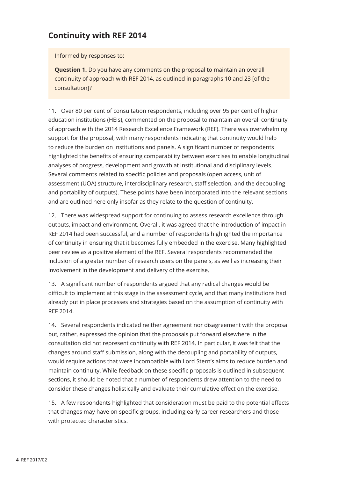## **Continuity with REF 2014**

Informed by responses to:

**Question 1.** Do you have any comments on the proposal to maintain an overall continuity of approach with REF 2014, as outlined in paragraphs 10 and 23 [of the consultation]?

11. Over 80 per cent of consultation respondents, including over 95 per cent of higher education institutions (HEIs), commented on the proposal to maintain an overall continuity of approach with the 2014 Research Excellence Framework (REF). There was overwhelming support for the proposal, with many respondents indicating that continuity would help to reduce the burden on institutions and panels. A significant number of respondents highlighted the benefits of ensuring comparability between exercises to enable longitudinal analyses of progress, development and growth at institutional and disciplinary levels. Several comments related to specific policies and proposals (open access, unit of assessment (UOA) structure, interdisciplinary research, staff selection, and the decoupling and portability of outputs). These points have been incorporated into the relevant sections and are outlined here only insofar as they relate to the question of continuity.

12. There was widespread support for continuing to assess research excellence through outputs, impact and environment. Overall, it was agreed that the introduction of impact in REF 2014 had been successful, and a number of respondents highlighted the importance of continuity in ensuring that it becomes fully embedded in the exercise. Many highlighted peer review as a positive element of the REF. Several respondents recommended the inclusion of a greater number of research users on the panels, as well as increasing their involvement in the development and delivery of the exercise.

13. A significant number of respondents argued that any radical changes would be difficult to implement at this stage in the assessment cycle, and that many institutions had already put in place processes and strategies based on the assumption of continuity with REF 2014.

14. Several respondents indicated neither agreement nor disagreement with the proposal but, rather, expressed the opinion that the proposals put forward elsewhere in the consultation did not represent continuity with REF 2014. In particular, it was felt that the changes around staff submission, along with the decoupling and portability of outputs, would require actions that were incompatible with Lord Stern's aims to reduce burden and maintain continuity. While feedback on these specific proposals is outlined in subsequent sections, it should be noted that a number of respondents drew attention to the need to consider these changes holistically and evaluate their cumulative effect on the exercise.

15. A few respondents highlighted that consideration must be paid to the potential effects that changes may have on specific groups, including early career researchers and those with protected characteristics.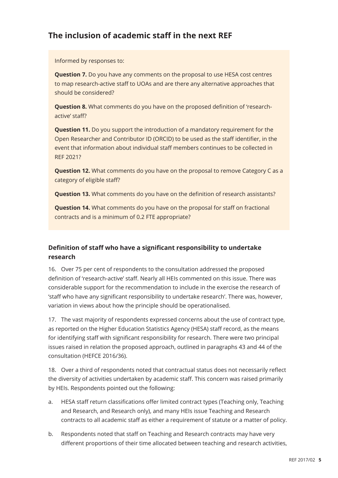## **The inclusion of academic staff in the next REF**

Informed by responses to:

**Question 7.** Do you have any comments on the proposal to use HESA cost centres to map research-active staff to UOAs and are there any alternative approaches that should be considered?

**Question 8.** What comments do you have on the proposed definition of 'researchactive' staff?

**Question 11.** Do you support the introduction of a mandatory requirement for the Open Researcher and Contributor ID (ORCID) to be used as the staff identifier, in the event that information about individual staff members continues to be collected in REF 2021?

**Question 12.** What comments do you have on the proposal to remove Category C as a category of eligible staff?

**Question 13.** What comments do you have on the definition of research assistants?

**Question 14.** What comments do you have on the proposal for staff on fractional contracts and is a minimum of 0.2 FTE appropriate?

#### **Definition of staff who have a significant responsibility to undertake research**

16. Over 75 per cent of respondents to the consultation addressed the proposed definition of 'research-active' staff. Nearly all HEIs commented on this issue. There was considerable support for the recommendation to include in the exercise the research of 'staff who have any significant responsibility to undertake research'. There was, however, variation in views about how the principle should be operationalised.

17. The vast majority of respondents expressed concerns about the use of contract type, as reported on the Higher Education Statistics Agency (HESA) staff record, as the means for identifying staff with significant responsibility for research. There were two principal issues raised in relation the proposed approach, outlined in paragraphs 43 and 44 of the consultation (HEFCE 2016/36).

18. Over a third of respondents noted that contractual status does not necessarily reflect the diversity of activities undertaken by academic staff. This concern was raised primarily by HEIs. Respondents pointed out the following:

- a. HESA staff return classifications offer limited contract types (Teaching only, Teaching and Research, and Research only), and many HEIs issue Teaching and Research contracts to all academic staff as either a requirement of statute or a matter of policy.
- b. Respondents noted that staff on Teaching and Research contracts may have very different proportions of their time allocated between teaching and research activities,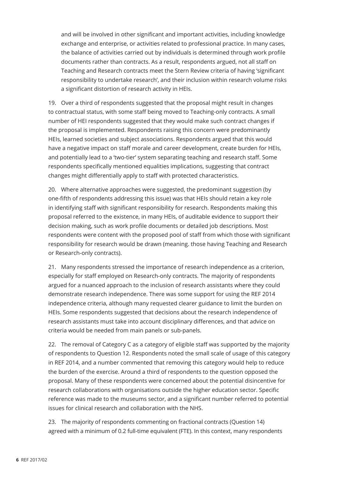and will be involved in other significant and important activities, including knowledge exchange and enterprise, or activities related to professional practice. In many cases, the balance of activities carried out by individuals is determined through work profile documents rather than contracts. As a result, respondents argued, not all staff on Teaching and Research contracts meet the Stern Review criteria of having 'significant responsibility to undertake research', and their inclusion within research volume risks a significant distortion of research activity in HEIs.

19. Over a third of respondents suggested that the proposal might result in changes to contractual status, with some staff being moved to Teaching-only contracts. A small number of HEI respondents suggested that they would make such contract changes if the proposal is implemented. Respondents raising this concern were predominantly HEIs, learned societies and subject associations. Respondents argued that this would have a negative impact on staff morale and career development, create burden for HEIs, and potentially lead to a 'two-tier' system separating teaching and research staff. Some respondents specifically mentioned equalities implications, suggesting that contract changes might differentially apply to staff with protected characteristics.

20. Where alternative approaches were suggested, the predominant suggestion (by one-fifth of respondents addressing this issue) was that HEIs should retain a key role in identifying staff with significant responsibility for research. Respondents making this proposal referred to the existence, in many HEIs, of auditable evidence to support their decision making, such as work profile documents or detailed job descriptions. Most respondents were content with the proposed pool of staff from which those with significant responsibility for research would be drawn (meaning. those having Teaching and Research or Research-only contracts).

21. Many respondents stressed the importance of research independence as a criterion, especially for staff employed on Research-only contracts. The majority of respondents argued for a nuanced approach to the inclusion of research assistants where they could demonstrate research independence. There was some support for using the REF 2014 independence criteria, although many requested clearer guidance to limit the burden on HEIs. Some respondents suggested that decisions about the research independence of research assistants must take into account disciplinary differences, and that advice on criteria would be needed from main panels or sub-panels.

22. The removal of Category C as a category of eligible staff was supported by the majority of respondents to Question 12. Respondents noted the small scale of usage of this category in REF 2014, and a number commented that removing this category would help to reduce the burden of the exercise. Around a third of respondents to the question opposed the proposal. Many of these respondents were concerned about the potential disincentive for research collaborations with organisations outside the higher education sector. Specific reference was made to the museums sector, and a significant number referred to potential issues for clinical research and collaboration with the NHS.

23. The majority of respondents commenting on fractional contracts (Question 14) agreed with a minimum of 0.2 full-time equivalent (FTE). In this context, many respondents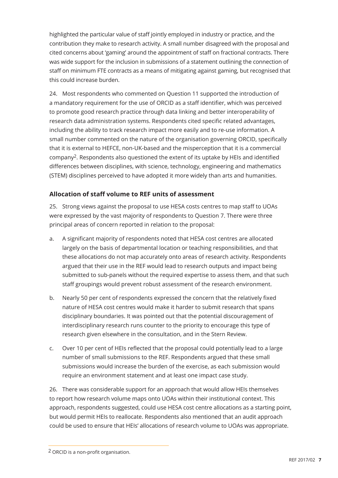highlighted the particular value of staff jointly employed in industry or practice, and the contribution they make to research activity. A small number disagreed with the proposal and cited concerns about 'gaming' around the appointment of staff on fractional contracts. There was wide support for the inclusion in submissions of a statement outlining the connection of staff on minimum FTE contracts as a means of mitigating against gaming, but recognised that this could increase burden.

24. Most respondents who commented on Question 11 supported the introduction of a mandatory requirement for the use of ORCID as a staff identifier, which was perceived to promote good research practice through data linking and better interoperability of research data administration systems. Respondents cited specific related advantages, including the ability to track research impact more easily and to re-use information. A small number commented on the nature of the organisation governing ORCID, specifically that it is external to HEFCE, non-UK-based and the misperception that it is a commercial company2. Respondents also questioned the extent of its uptake by HEIs and identified differences between disciplines, with science, technology, engineering and mathematics (STEM) disciplines perceived to have adopted it more widely than arts and humanities.

#### **Allocation of staff volume to REF units of assessment**

25. Strong views against the proposal to use HESA costs centres to map staff to UOAs were expressed by the vast majority of respondents to Question 7. There were three principal areas of concern reported in relation to the proposal:

- a. A significant majority of respondents noted that HESA cost centres are allocated largely on the basis of departmental location or teaching responsibilities, and that these allocations do not map accurately onto areas of research activity. Respondents argued that their use in the REF would lead to research outputs and impact being submitted to sub-panels without the required expertise to assess them, and that such staff groupings would prevent robust assessment of the research environment.
- b. Nearly 50 per cent of respondents expressed the concern that the relatively fixed nature of HESA cost centres would make it harder to submit research that spans disciplinary boundaries. It was pointed out that the potential discouragement of interdisciplinary research runs counter to the priority to encourage this type of research given elsewhere in the consultation, and in the Stern Review.
- c. Over 10 per cent of HEIs reflected that the proposal could potentially lead to a large number of small submissions to the REF. Respondents argued that these small submissions would increase the burden of the exercise, as each submission would require an environment statement and at least one impact case study.

26. There was considerable support for an approach that would allow HEIs themselves to report how research volume maps onto UOAs within their institutional context. This approach, respondents suggested, could use HESA cost centre allocations as a starting point, but would permit HEIs to reallocate. Respondents also mentioned that an audit approach could be used to ensure that HEIs' allocations of research volume to UOAs was appropriate.

<sup>2</sup> ORCID is a non-profit organisation.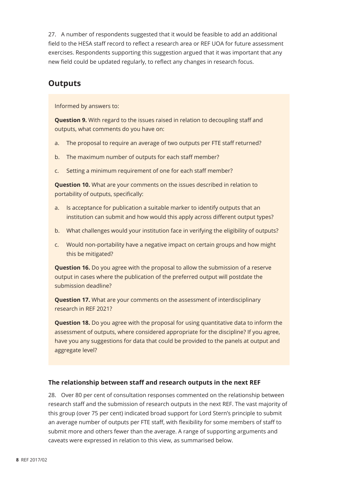27. A number of respondents suggested that it would be feasible to add an additional field to the HESA staff record to reflect a research area or REF UOA for future assessment exercises. Respondents supporting this suggestion argued that it was important that any new field could be updated regularly, to reflect any changes in research focus.

### **Outputs**

Informed by answers to:

**Question 9.** With regard to the issues raised in relation to decoupling staff and outputs, what comments do you have on:

- a. The proposal to require an average of two outputs per FTE staff returned?
- b. The maximum number of outputs for each staff member?
- c. Setting a minimum requirement of one for each staff member?

**Question 10.** What are your comments on the issues described in relation to portability of outputs, specifically:

- a. Is acceptance for publication a suitable marker to identify outputs that an institution can submit and how would this apply across different output types?
- b. What challenges would your institution face in verifying the eligibility of outputs?
- c. Would non-portability have a negative impact on certain groups and how might this be mitigated?

**Question 16.** Do you agree with the proposal to allow the submission of a reserve output in cases where the publication of the preferred output will postdate the submission deadline?

**Question 17.** What are your comments on the assessment of interdisciplinary research in REF 2021?

**Question 18.** Do you agree with the proposal for using quantitative data to inform the assessment of outputs, where considered appropriate for the discipline? If you agree, have you any suggestions for data that could be provided to the panels at output and aggregate level?

#### **The relationship between staff and research outputs in the next REF**

28. Over 80 per cent of consultation responses commented on the relationship between research staff and the submission of research outputs in the next REF. The vast majority of this group (over 75 per cent) indicated broad support for Lord Stern's principle to submit an average number of outputs per FTE staff, with flexibility for some members of staff to submit more and others fewer than the average. A range of supporting arguments and caveats were expressed in relation to this view, as summarised below.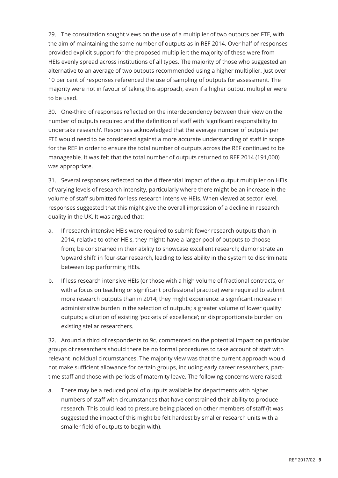29. The consultation sought views on the use of a multiplier of two outputs per FTE, with the aim of maintaining the same number of outputs as in REF 2014. Over half of responses provided explicit support for the proposed multiplier; the majority of these were from HEIs evenly spread across institutions of all types. The majority of those who suggested an alternative to an average of two outputs recommended using a higher multiplier. Just over 10 per cent of responses referenced the use of sampling of outputs for assessment. The majority were not in favour of taking this approach, even if a higher output multiplier were to be used.

30. One-third of responses reflected on the interdependency between their view on the number of outputs required and the definition of staff with 'significant responsibility to undertake research'. Responses acknowledged that the average number of outputs per FTE would need to be considered against a more accurate understanding of staff in scope for the REF in order to ensure the total number of outputs across the REF continued to be manageable. It was felt that the total number of outputs returned to REF 2014 (191,000) was appropriate.

31. Several responses reflected on the differential impact of the output multiplier on HEIs of varying levels of research intensity, particularly where there might be an increase in the volume of staff submitted for less research intensive HEIs. When viewed at sector level, responses suggested that this might give the overall impression of a decline in research quality in the UK. It was argued that:

- a. If research intensive HEIs were required to submit fewer research outputs than in 2014, relative to other HEIs, they might: have a larger pool of outputs to choose from; be constrained in their ability to showcase excellent research; demonstrate an 'upward shift' in four-star research, leading to less ability in the system to discriminate between top performing HEIs.
- b. If less research intensive HEIs (or those with a high volume of fractional contracts, or with a focus on teaching or significant professional practice) were required to submit more research outputs than in 2014, they might experience: a significant increase in administrative burden in the selection of outputs; a greater volume of lower quality outputs; a dilution of existing 'pockets of excellence'; or disproportionate burden on existing stellar researchers.

32. Around a third of respondents to 9c. commented on the potential impact on particular groups of researchers should there be no formal procedures to take account of staff with relevant individual circumstances. The majority view was that the current approach would not make sufficient allowance for certain groups, including early career researchers, parttime staff and those with periods of maternity leave. The following concerns were raised:

a. There may be a reduced pool of outputs available for departments with higher numbers of staff with circumstances that have constrained their ability to produce research. This could lead to pressure being placed on other members of staff (it was suggested the impact of this might be felt hardest by smaller research units with a smaller field of outputs to begin with).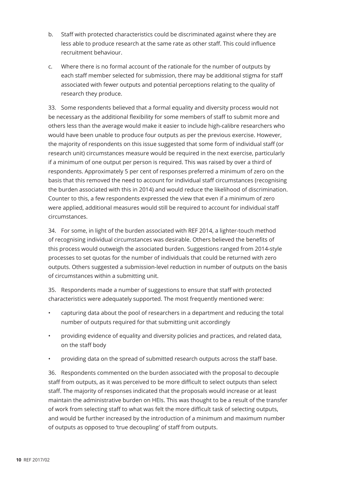- b. Staff with protected characteristics could be discriminated against where they are less able to produce research at the same rate as other staff. This could influence recruitment behaviour.
- c. Where there is no formal account of the rationale for the number of outputs by each staff member selected for submission, there may be additional stigma for staff associated with fewer outputs and potential perceptions relating to the quality of research they produce.

33. Some respondents believed that a formal equality and diversity process would not be necessary as the additional flexibility for some members of staff to submit more and others less than the average would make it easier to include high-calibre researchers who would have been unable to produce four outputs as per the previous exercise. However, the majority of respondents on this issue suggested that some form of individual staff (or research unit) circumstances measure would be required in the next exercise, particularly if a minimum of one output per person is required. This was raised by over a third of respondents. Approximately 5 per cent of responses preferred a minimum of zero on the basis that this removed the need to account for individual staff circumstances (recognising the burden associated with this in 2014) and would reduce the likelihood of discrimination. Counter to this, a few respondents expressed the view that even if a minimum of zero were applied, additional measures would still be required to account for individual staff circumstances.

34. For some, in light of the burden associated with REF 2014, a lighter-touch method of recognising individual circumstances was desirable. Others believed the benefits of this process would outweigh the associated burden. Suggestions ranged from 2014-style processes to set quotas for the number of individuals that could be returned with zero outputs. Others suggested a submission-level reduction in number of outputs on the basis of circumstances within a submitting unit.

35. Respondents made a number of suggestions to ensure that staff with protected characteristics were adequately supported. The most frequently mentioned were:

- capturing data about the pool of researchers in a department and reducing the total number of outputs required for that submitting unit accordingly
- providing evidence of equality and diversity policies and practices, and related data, on the staff body
- providing data on the spread of submitted research outputs across the staff base.

36. Respondents commented on the burden associated with the proposal to decouple staff from outputs, as it was perceived to be more difficult to select outputs than select staff. The majority of responses indicated that the proposals would increase or at least maintain the administrative burden on HEIs. This was thought to be a result of the transfer of work from selecting staff to what was felt the more difficult task of selecting outputs, and would be further increased by the introduction of a minimum and maximum number of outputs as opposed to 'true decoupling' of staff from outputs.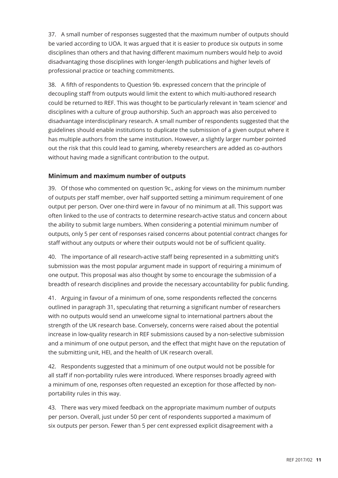37. A small number of responses suggested that the maximum number of outputs should be varied according to UOA. It was argued that it is easier to produce six outputs in some disciplines than others and that having different maximum numbers would help to avoid disadvantaging those disciplines with longer-length publications and higher levels of professional practice or teaching commitments.

38. A fifth of respondents to Question 9b. expressed concern that the principle of decoupling staff from outputs would limit the extent to which multi-authored research could be returned to REF. This was thought to be particularly relevant in 'team science' and disciplines with a culture of group authorship. Such an approach was also perceived to disadvantage interdisciplinary research. A small number of respondents suggested that the guidelines should enable institutions to duplicate the submission of a given output where it has multiple authors from the same institution. However, a slightly larger number pointed out the risk that this could lead to gaming, whereby researchers are added as co-authors without having made a significant contribution to the output.

#### **Minimum and maximum number of outputs**

39. Of those who commented on question 9c., asking for views on the minimum number of outputs per staff member, over half supported setting a minimum requirement of one output per person. Over one-third were in favour of no minimum at all. This support was often linked to the use of contracts to determine research-active status and concern about the ability to submit large numbers. When considering a potential minimum number of outputs, only 5 per cent of responses raised concerns about potential contract changes for staff without any outputs or where their outputs would not be of sufficient quality.

40. The importance of all research-active staff being represented in a submitting unit's submission was the most popular argument made in support of requiring a minimum of one output. This proposal was also thought by some to encourage the submission of a breadth of research disciplines and provide the necessary accountability for public funding.

41. Arguing in favour of a minimum of one, some respondents reflected the concerns outlined in paragraph 31, speculating that returning a significant number of researchers with no outputs would send an unwelcome signal to international partners about the strength of the UK research base. Conversely, concerns were raised about the potential increase in low-quality research in REF submissions caused by a non-selective submission and a minimum of one output person, and the effect that might have on the reputation of the submitting unit, HEI, and the health of UK research overall.

42. Respondents suggested that a minimum of one output would not be possible for all staff if non-portability rules were introduced. Where responses broadly agreed with a minimum of one, responses often requested an exception for those affected by nonportability rules in this way.

43. There was very mixed feedback on the appropriate maximum number of outputs per person. Overall, just under 50 per cent of respondents supported a maximum of six outputs per person. Fewer than 5 per cent expressed explicit disagreement with a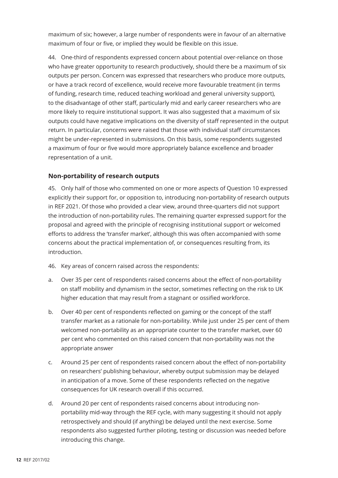maximum of six; however, a large number of respondents were in favour of an alternative maximum of four or five, or implied they would be flexible on this issue.

44. One-third of respondents expressed concern about potential over-reliance on those who have greater opportunity to research productively, should there be a maximum of six outputs per person. Concern was expressed that researchers who produce more outputs, or have a track record of excellence, would receive more favourable treatment (in terms of funding, research time, reduced teaching workload and general university support), to the disadvantage of other staff, particularly mid and early career researchers who are more likely to require institutional support. It was also suggested that a maximum of six outputs could have negative implications on the diversity of staff represented in the output return. In particular, concerns were raised that those with individual staff circumstances might be under-represented in submissions. On this basis, some respondents suggested a maximum of four or five would more appropriately balance excellence and broader representation of a unit.

#### **Non-portability of research outputs**

45. Only half of those who commented on one or more aspects of Question 10 expressed explicitly their support for, or opposition to, introducing non-portability of research outputs in REF 2021. Of those who provided a clear view, around three-quarters did not support the introduction of non-portability rules. The remaining quarter expressed support for the proposal and agreed with the principle of recognising institutional support or welcomed efforts to address the 'transfer market', although this was often accompanied with some concerns about the practical implementation of, or consequences resulting from, its introduction.

- 46. Key areas of concern raised across the respondents:
- a. Over 35 per cent of respondents raised concerns about the effect of non-portability on staff mobility and dynamism in the sector, sometimes reflecting on the risk to UK higher education that may result from a stagnant or ossified workforce.
- b. Over 40 per cent of respondents reflected on gaming or the concept of the staff transfer market as a rationale for non-portability. While just under 25 per cent of them welcomed non-portability as an appropriate counter to the transfer market, over 60 per cent who commented on this raised concern that non-portability was not the appropriate answer
- c. Around 25 per cent of respondents raised concern about the effect of non-portability on researchers' publishing behaviour, whereby output submission may be delayed in anticipation of a move. Some of these respondents reflected on the negative consequences for UK research overall if this occurred.
- d. Around 20 per cent of respondents raised concerns about introducing nonportability mid-way through the REF cycle, with many suggesting it should not apply retrospectively and should (if anything) be delayed until the next exercise. Some respondents also suggested further piloting, testing or discussion was needed before introducing this change.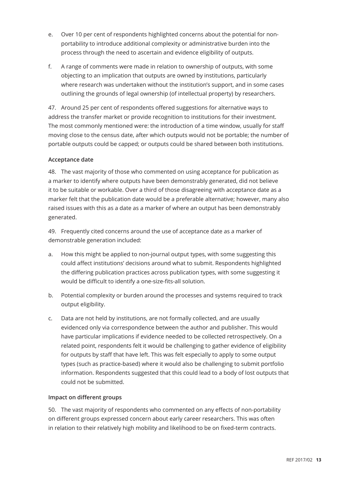- e. Over 10 per cent of respondents highlighted concerns about the potential for nonportability to introduce additional complexity or administrative burden into the process through the need to ascertain and evidence eligibility of outputs.
- f. A range of comments were made in relation to ownership of outputs, with some objecting to an implication that outputs are owned by institutions, particularly where research was undertaken without the institution's support, and in some cases outlining the grounds of legal ownership (of intellectual property) by researchers.

47. Around 25 per cent of respondents offered suggestions for alternative ways to address the transfer market or provide recognition to institutions for their investment. The most commonly mentioned were: the introduction of a time window, usually for staff moving close to the census date, after which outputs would not be portable; the number of portable outputs could be capped; or outputs could be shared between both institutions.

#### **Acceptance date**

48. The vast majority of those who commented on using acceptance for publication as a marker to identify where outputs have been demonstrably generated, did not believe it to be suitable or workable. Over a third of those disagreeing with acceptance date as a marker felt that the publication date would be a preferable alternative; however, many also raised issues with this as a date as a marker of where an output has been demonstrably generated.

49. Frequently cited concerns around the use of acceptance date as a marker of demonstrable generation included:

- a. How this might be applied to non-journal output types, with some suggesting this could affect institutions' decisions around what to submit. Respondents highlighted the differing publication practices across publication types, with some suggesting it would be difficult to identify a one-size-fits-all solution.
- b. Potential complexity or burden around the processes and systems required to track output eligibility.
- c. Data are not held by institutions, are not formally collected, and are usually evidenced only via correspondence between the author and publisher. This would have particular implications if evidence needed to be collected retrospectively. On a related point, respondents felt it would be challenging to gather evidence of eligibility for outputs by staff that have left. This was felt especially to apply to some output types (such as practice-based) where it would also be challenging to submit portfolio information. Respondents suggested that this could lead to a body of lost outputs that could not be submitted.

#### **Impact on different groups**

50. The vast majority of respondents who commented on any effects of non-portability on different groups expressed concern about early career researchers. This was often in relation to their relatively high mobility and likelihood to be on fixed-term contracts.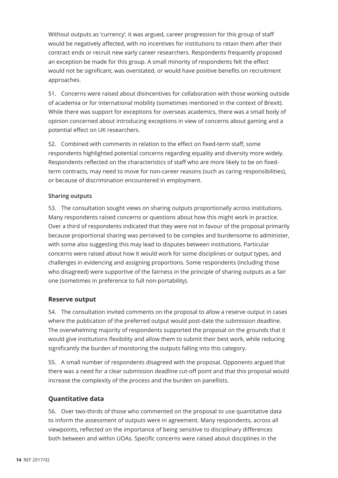Without outputs as 'currency', it was argued, career progression for this group of staff would be negatively affected, with no incentives for institutions to retain them after their contract ends or recruit new early career researchers. Respondents frequently proposed an exception be made for this group. A small minority of respondents felt the effect would not be significant, was overstated, or would have positive benefits on recruitment approaches.

51. Concerns were raised about disincentives for collaboration with those working outside of academia or for international mobility (sometimes mentioned in the context of Brexit). While there was support for exceptions for overseas academics, there was a small body of opinion concerned about introducing exceptions in view of concerns about gaming and a potential effect on UK researchers.

52. Combined with comments in relation to the effect on fixed-term staff, some respondents highlighted potential concerns regarding equality and diversity more widely. Respondents reflected on the characteristics of staff who are more likely to be on fixedterm contracts, may need to move for non-career reasons (such as caring responsibilities), or because of discrimination encountered in employment.

#### **Sharing outputs**

53. The consultation sought views on sharing outputs proportionally across institutions. Many respondents raised concerns or questions about how this might work in practice. Over a third of respondents indicated that they were not in favour of the proposal primarily because proportional sharing was perceived to be complex and burdensome to administer, with some also suggesting this may lead to disputes between institutions. Particular concerns were raised about how it would work for some disciplines or output types, and challenges in evidencing and assigning proportions. Some respondents (including those who disagreed) were supportive of the fairness in the principle of sharing outputs as a fair one (sometimes in preference to full non-portability).

#### **Reserve output**

54. The consultation invited comments on the proposal to allow a reserve output in cases where the publication of the preferred output would post-date the submission deadline. The overwhelming majority of respondents supported the proposal on the grounds that it would give institutions flexibility and allow them to submit their best work, while reducing significantly the burden of monitoring the outputs falling into this category.

55. A small number of respondents disagreed with the proposal. Opponents argued that there was a need for a clear submission deadline cut-off point and that this proposal would increase the complexity of the process and the burden on panellists.

#### **Quantitative data**

56. Over two-thirds of those who commented on the proposal to use quantitative data to inform the assessment of outputs were in agreement. Many respondents, across all viewpoints, reflected on the importance of being sensitive to disciplinary differences both between and within UOAs. Specific concerns were raised about disciplines in the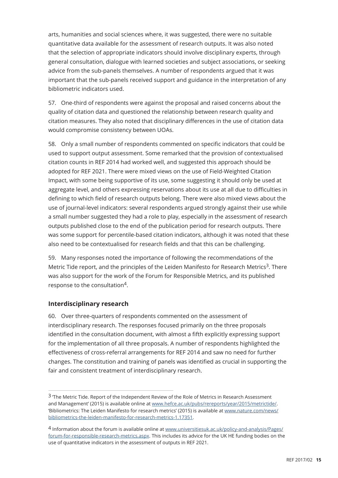arts, humanities and social sciences where, it was suggested, there were no suitable quantitative data available for the assessment of research outputs. It was also noted that the selection of appropriate indicators should involve disciplinary experts, through general consultation, dialogue with learned societies and subject associations, or seeking advice from the sub-panels themselves. A number of respondents argued that it was important that the sub-panels received support and guidance in the interpretation of any bibliometric indicators used.

57. One-third of respondents were against the proposal and raised concerns about the quality of citation data and questioned the relationship between research quality and citation measures. They also noted that disciplinary differences in the use of citation data would compromise consistency between UOAs.

58. Only a small number of respondents commented on specific indicators that could be used to support output assessment. Some remarked that the provision of contextualised citation counts in REF 2014 had worked well, and suggested this approach should be adopted for REF 2021. There were mixed views on the use of Field-Weighted Citation Impact, with some being supportive of its use, some suggesting it should only be used at aggregate level, and others expressing reservations about its use at all due to difficulties in defining to which field of research outputs belong. There were also mixed views about the use of journal-level indicators: several respondents argued strongly against their use while a small number suggested they had a role to play, especially in the assessment of research outputs published close to the end of the publication period for research outputs. There was some support for percentile-based citation indicators, although it was noted that these also need to be contextualised for research fields and that this can be challenging.

59. Many responses noted the importance of following the recommendations of the Metric Tide report, and the principles of the Leiden Manifesto for Research Metrics<sup>3</sup>. There was also support for the work of the Forum for Responsible Metrics, and its published response to the consultation4.

#### **Interdisciplinary research**

60. Over three-quarters of respondents commented on the assessment of interdisciplinary research. The responses focused primarily on the three proposals identified in the consultation document, with almost a fifth explicitly expressing support for the implementation of all three proposals. A number of respondents highlighted the effectiveness of cross-referral arrangements for REF 2014 and saw no need for further changes. The constitution and training of panels was identified as crucial in supporting the fair and consistent treatment of interdisciplinary research.

<sup>3</sup> The Metric Tide. Report of the Independent Review of the Role of Metrics in Research Assessment and Management' (2015) is available online at www.hefce.ac.uk/pubs/rereports/year/2015/metrictide/. 'Bibliometrics: The Leiden Manifesto for research metrics' (2015) is available at www.nature.com/news/ bibliometrics-the-leiden-manifesto-for-research-metrics-1.17351.

<sup>4</sup> Information about the forum is available online at www.universitiesuk.ac.uk/policy-and-analysis/Pages/ forum-for-responsible-research-metrics.aspx. This includes its advice for the UK HE funding bodies on the use of quantitative indicators in the assessment of outputs in REF 2021.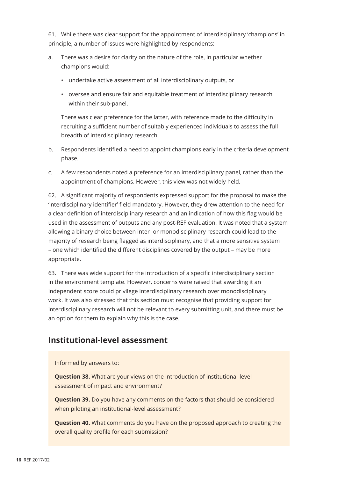61. While there was clear support for the appointment of interdisciplinary 'champions' in principle, a number of issues were highlighted by respondents:

- a. There was a desire for clarity on the nature of the role, in particular whether champions would:
	- undertake active assessment of all interdisciplinary outputs, or
	- oversee and ensure fair and equitable treatment of interdisciplinary research within their sub-panel.

There was clear preference for the latter, with reference made to the difficulty in recruiting a sufficient number of suitably experienced individuals to assess the full breadth of interdisciplinary research.

- b. Respondents identified a need to appoint champions early in the criteria development phase.
- c. A few respondents noted a preference for an interdisciplinary panel, rather than the appointment of champions. However, this view was not widely held.

62. A significant majority of respondents expressed support for the proposal to make the 'interdisciplinary identifier' field mandatory. However, they drew attention to the need for a clear definition of interdisciplinary research and an indication of how this flag would be used in the assessment of outputs and any post-REF evaluation. It was noted that a system allowing a binary choice between inter- or monodisciplinary research could lead to the majority of research being flagged as interdisciplinary, and that a more sensitive system – one which identified the different disciplines covered by the output – may be more appropriate.

63. There was wide support for the introduction of a specific interdisciplinary section in the environment template. However, concerns were raised that awarding it an independent score could privilege interdisciplinary research over monodisciplinary work. It was also stressed that this section must recognise that providing support for interdisciplinary research will not be relevant to every submitting unit, and there must be an option for them to explain why this is the case.

## **Institutional-level assessment**

Informed by answers to:

**Question 38.** What are your views on the introduction of institutional-level assessment of impact and environment?

**Question 39.** Do you have any comments on the factors that should be considered when piloting an institutional-level assessment?

**Question 40.** What comments do you have on the proposed approach to creating the overall quality profile for each submission?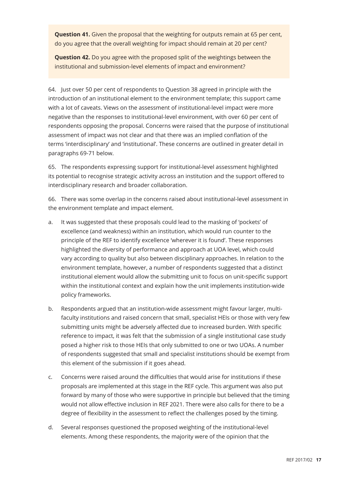**Question 41.** Given the proposal that the weighting for outputs remain at 65 per cent, do you agree that the overall weighting for impact should remain at 20 per cent?

**Question 42.** Do you agree with the proposed split of the weightings between the institutional and submission-level elements of impact and environment?

64. Just over 50 per cent of respondents to Question 38 agreed in principle with the introduction of an institutional element to the environment template; this support came with a lot of caveats. Views on the assessment of institutional-level impact were more negative than the responses to institutional-level environment, with over 60 per cent of respondents opposing the proposal. Concerns were raised that the purpose of institutional assessment of impact was not clear and that there was an implied conflation of the terms 'interdisciplinary' and 'institutional'. These concerns are outlined in greater detail in paragraphs 69-71 below.

65. The respondents expressing support for institutional-level assessment highlighted its potential to recognise strategic activity across an institution and the support offered to interdisciplinary research and broader collaboration.

66. There was some overlap in the concerns raised about institutional-level assessment in the environment template and impact element.

- a. It was suggested that these proposals could lead to the masking of 'pockets' of excellence (and weakness) within an institution, which would run counter to the principle of the REF to identify excellence 'wherever it is found'. These responses highlighted the diversity of performance and approach at UOA level, which could vary according to quality but also between disciplinary approaches. In relation to the environment template, however, a number of respondents suggested that a distinct institutional element would allow the submitting unit to focus on unit-specific support within the institutional context and explain how the unit implements institution-wide policy frameworks.
- b. Respondents argued that an institution-wide assessment might favour larger, multifaculty institutions and raised concern that small, specialist HEIs or those with very few submitting units might be adversely affected due to increased burden. With specific reference to impact, it was felt that the submission of a single institutional case study posed a higher risk to those HEIs that only submitted to one or two UOAs. A number of respondents suggested that small and specialist institutions should be exempt from this element of the submission if it goes ahead.
- c. Concerns were raised around the difficulties that would arise for institutions if these proposals are implemented at this stage in the REF cycle. This argument was also put forward by many of those who were supportive in principle but believed that the timing would not allow effective inclusion in REF 2021. There were also calls for there to be a degree of flexibility in the assessment to reflect the challenges posed by the timing.
- d. Several responses questioned the proposed weighting of the institutional-level elements. Among these respondents, the majority were of the opinion that the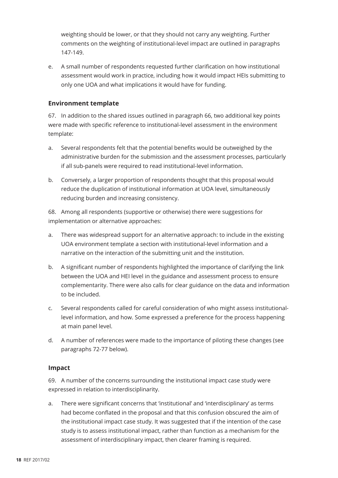weighting should be lower, or that they should not carry any weighting. Further comments on the weighting of institutional-level impact are outlined in paragraphs 147-149.

e. A small number of respondents requested further clarification on how institutional assessment would work in practice, including how it would impact HEIs submitting to only one UOA and what implications it would have for funding.

#### **Environment template**

67. In addition to the shared issues outlined in paragraph 66, two additional key points were made with specific reference to institutional-level assessment in the environment template:

- a. Several respondents felt that the potential benefits would be outweighed by the administrative burden for the submission and the assessment processes, particularly if all sub-panels were required to read institutional-level information.
- b. Conversely, a larger proportion of respondents thought that this proposal would reduce the duplication of institutional information at UOA level, simultaneously reducing burden and increasing consistency.

68. Among all respondents (supportive or otherwise) there were suggestions for implementation or alternative approaches:

- a. There was widespread support for an alternative approach: to include in the existing UOA environment template a section with institutional-level information and a narrative on the interaction of the submitting unit and the institution.
- b. A significant number of respondents highlighted the importance of clarifying the link between the UOA and HEI level in the guidance and assessment process to ensure complementarity. There were also calls for clear guidance on the data and information to be included.
- c. Several respondents called for careful consideration of who might assess institutionallevel information, and how. Some expressed a preference for the process happening at main panel level.
- d. A number of references were made to the importance of piloting these changes (see paragraphs 72-77 below).

#### **Impact**

69. A number of the concerns surrounding the institutional impact case study were expressed in relation to interdisciplinarity.

a. There were significant concerns that 'institutional' and 'interdisciplinary' as terms had become conflated in the proposal and that this confusion obscured the aim of the institutional impact case study. It was suggested that if the intention of the case study is to assess institutional impact, rather than function as a mechanism for the assessment of interdisciplinary impact, then clearer framing is required.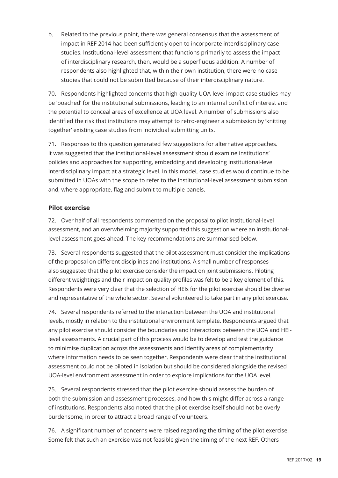b. Related to the previous point, there was general consensus that the assessment of impact in REF 2014 had been sufficiently open to incorporate interdisciplinary case studies. Institutional-level assessment that functions primarily to assess the impact of interdisciplinary research, then, would be a superfluous addition. A number of respondents also highlighted that, within their own institution, there were no case studies that could not be submitted because of their interdisciplinary nature.

70. Respondents highlighted concerns that high-quality UOA-level impact case studies may be 'poached' for the institutional submissions, leading to an internal conflict of interest and the potential to conceal areas of excellence at UOA level. A number of submissions also identified the risk that institutions may attempt to retro-engineer a submission by 'knitting together' existing case studies from individual submitting units.

71. Responses to this question generated few suggestions for alternative approaches. It was suggested that the institutional-level assessment should examine institutions' policies and approaches for supporting, embedding and developing institutional-level interdisciplinary impact at a strategic level. In this model, case studies would continue to be submitted in UOAs with the scope to refer to the institutional-level assessment submission and, where appropriate, flag and submit to multiple panels.

#### **Pilot exercise**

72. Over half of all respondents commented on the proposal to pilot institutional-level assessment, and an overwhelming majority supported this suggestion where an institutionallevel assessment goes ahead. The key recommendations are summarised below.

73. Several respondents suggested that the pilot assessment must consider the implications of the proposal on different disciplines and institutions. A small number of responses also suggested that the pilot exercise consider the impact on joint submissions. Piloting different weightings and their impact on quality profiles was felt to be a key element of this. Respondents were very clear that the selection of HEIs for the pilot exercise should be diverse and representative of the whole sector. Several volunteered to take part in any pilot exercise.

74. Several respondents referred to the interaction between the UOA and institutional levels, mostly in relation to the institutional environment template. Respondents argued that any pilot exercise should consider the boundaries and interactions between the UOA and HEIlevel assessments. A crucial part of this process would be to develop and test the guidance to minimise duplication across the assessments and identify areas of complementarity where information needs to be seen together. Respondents were clear that the institutional assessment could not be piloted in isolation but should be considered alongside the revised UOA-level environment assessment in order to explore implications for the UOA level.

75. Several respondents stressed that the pilot exercise should assess the burden of both the submission and assessment processes, and how this might differ across a range of institutions. Respondents also noted that the pilot exercise itself should not be overly burdensome, in order to attract a broad range of volunteers.

76. A significant number of concerns were raised regarding the timing of the pilot exercise. Some felt that such an exercise was not feasible given the timing of the next REF. Others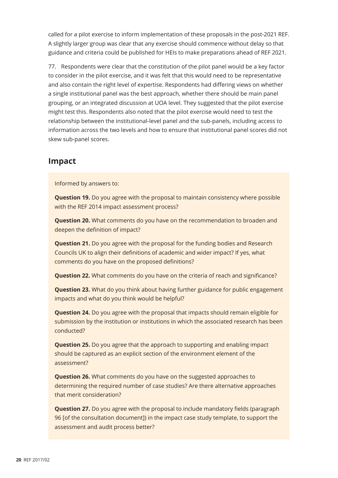called for a pilot exercise to inform implementation of these proposals in the post-2021 REF. A slightly larger group was clear that any exercise should commence without delay so that guidance and criteria could be published for HEIs to make preparations ahead of REF 2021.

77. Respondents were clear that the constitution of the pilot panel would be a key factor to consider in the pilot exercise, and it was felt that this would need to be representative and also contain the right level of expertise. Respondents had differing views on whether a single institutional panel was the best approach, whether there should be main panel grouping, or an integrated discussion at UOA level. They suggested that the pilot exercise might test this. Respondents also noted that the pilot exercise would need to test the relationship between the institutional-level panel and the sub-panels, including access to information across the two levels and how to ensure that institutional panel scores did not skew sub-panel scores.

### **Impact**

Informed by answers to:

**Question 19.** Do you agree with the proposal to maintain consistency where possible with the REF 2014 impact assessment process?

**Question 20.** What comments do you have on the recommendation to broaden and deepen the definition of impact?

**Question 21.** Do you agree with the proposal for the funding bodies and Research Councils UK to align their definitions of academic and wider impact? If yes, what comments do you have on the proposed definitions?

**Question 22.** What comments do you have on the criteria of reach and significance?

**Question 23.** What do you think about having further guidance for public engagement impacts and what do you think would be helpful?

**Question 24.** Do you agree with the proposal that impacts should remain eligible for submission by the institution or institutions in which the associated research has been conducted?

**Question 25.** Do you agree that the approach to supporting and enabling impact should be captured as an explicit section of the environment element of the assessment?

**Question 26.** What comments do you have on the suggested approaches to determining the required number of case studies? Are there alternative approaches that merit consideration?

**Question 27.** Do you agree with the proposal to include mandatory fields (paragraph 96 [of the consultation document]) in the impact case study template, to support the assessment and audit process better?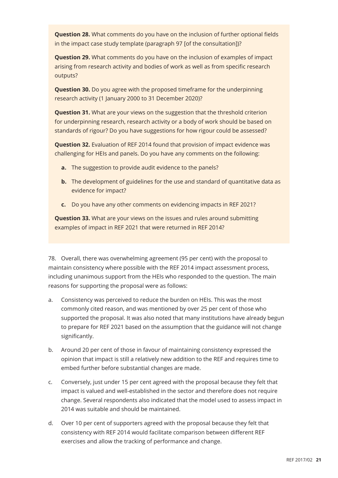**Question 28.** What comments do you have on the inclusion of further optional fields in the impact case study template (paragraph 97 [of the consultation])?

**Question 29.** What comments do you have on the inclusion of examples of impact arising from research activity and bodies of work as well as from specific research outputs?

**Question 30.** Do you agree with the proposed timeframe for the underpinning research activity (1 January 2000 to 31 December 2020)?

**Question 31.** What are your views on the suggestion that the threshold criterion for underpinning research, research activity or a body of work should be based on standards of rigour? Do you have suggestions for how rigour could be assessed?

**Question 32.** Evaluation of REF 2014 found that provision of impact evidence was challenging for HEIs and panels. Do you have any comments on the following:

- **a.** The suggestion to provide audit evidence to the panels?
- **b.** The development of guidelines for the use and standard of quantitative data as evidence for impact?
- **c.** Do you have any other comments on evidencing impacts in REF 2021?

**Question 33.** What are your views on the issues and rules around submitting examples of impact in REF 2021 that were returned in REF 2014?

78. Overall, there was overwhelming agreement (95 per cent) with the proposal to maintain consistency where possible with the REF 2014 impact assessment process, including unanimous support from the HEIs who responded to the question. The main reasons for supporting the proposal were as follows:

- a. Consistency was perceived to reduce the burden on HEIs. This was the most commonly cited reason, and was mentioned by over 25 per cent of those who supported the proposal. It was also noted that many institutions have already begun to prepare for REF 2021 based on the assumption that the guidance will not change significantly.
- b. Around 20 per cent of those in favour of maintaining consistency expressed the opinion that impact is still a relatively new addition to the REF and requires time to embed further before substantial changes are made.
- c. Conversely, just under 15 per cent agreed with the proposal because they felt that impact is valued and well-established in the sector and therefore does not require change. Several respondents also indicated that the model used to assess impact in 2014 was suitable and should be maintained.
- d. Over 10 per cent of supporters agreed with the proposal because they felt that consistency with REF 2014 would facilitate comparison between different REF exercises and allow the tracking of performance and change.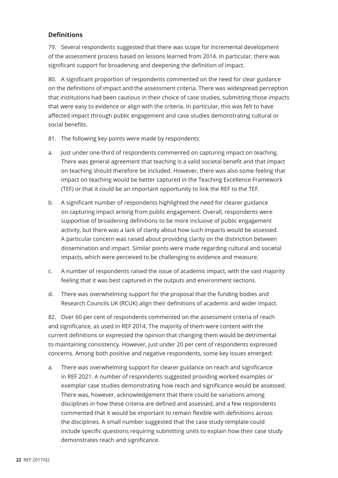#### **Definitions**

79. Several respondents suggested that there was scope for incremental development of the assessment process based on lessons learned from 2014. In particular, there was significant support for broadening and deepening the definition of impact.

80. A significant proportion of respondents commented on the need for clear guidance on the definitions of impact and the assessment criteria. There was widespread perception that institutions had been cautious in their choice of case studies, submitting those impacts that were easy to evidence or align with the criteria. In particular, this was felt to have affected impact through public engagement and case studies demonstrating cultural or social benefits.

- 81. The following key points were made by respondents:
- a. Just under one-third of respondents commented on capturing impact on teaching. There was general agreement that teaching is a valid societal benefit and that impact on teaching should therefore be included. However, there was also some feeling that impact on teaching would be better captured in the Teaching Excellence Framework (TEF) or that it could be an important opportunity to link the REF to the TEF.
- b. A significant number of respondents highlighted the need for clearer guidance on capturing impact arising from public engagement. Overall, respondents were supportive of broadening definitions to be more inclusive of public engagement activity, but there was a lack of clarity about how such impacts would be assessed. A particular concern was raised about providing clarity on the distinction between dissemination and impact. Similar points were made regarding cultural and societal impacts, which were perceived to be challenging to evidence and measure.
- c. A number of respondents raised the issue of academic impact, with the vast majority feeling that it was best captured in the outputs and environment sections.
- d. There was overwhelming support for the proposal that the funding bodies and Research Councils UK (RCUK) align their definitions of academic and wider impact.

82. Over 60 per cent of respondents commented on the assessment criteria of reach and significance, as used in REF 2014. The majority of them were content with the current definitions or expressed the opinion that changing them would be detrimental to maintaining consistency. However, just under 20 per cent of respondents expressed concerns. Among both positive and negative respondents, some key issues emerged:

a. There was overwhelming support for clearer guidance on reach and significance in REF 2021. A number of respondents suggested providing worked examples or exemplar case studies demonstrating how reach and significance would be assessed. There was, however, acknowledgement that there could be variations among disciplines in how these criteria are defined and assessed, and a few respondents commented that it would be important to remain flexible with definitions across the disciplines. A small number suggested that the case study template could include specific questions requiring submitting units to explain how their case study demonstrates reach and significance.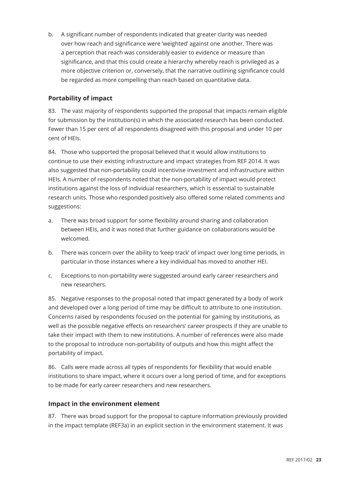b. A significant number of respondents indicated that greater clarity was needed over how reach and significance were 'weighted' against one another. There was a perception that reach was considerably easier to evidence or measure than significance, and that this could create a hierarchy whereby reach is privileged as a more objective criterion or, conversely, that the narrative outlining significance could be regarded as more compelling than reach based on quantitative data.

#### **Portability of impact**

83. The vast majority of respondents supported the proposal that impacts remain eligible for submission by the institution(s) in which the associated research has been conducted. Fewer than 15 per cent of all respondents disagreed with this proposal and under 10 per cent of HEIs.

84. Those who supported the proposal believed that it would allow institutions to continue to use their existing infrastructure and impact strategies from REF 2014. It was also suggested that non-portability could incentivise investment and infrastructure within HEIs. A number of respondents noted that the non-portability of impact would protect institutions against the loss of individual researchers, which is essential to sustainable research units. Those who responded positively also offered some related comments and suggestions:

- a. There was broad support for some flexibility around sharing and collaboration between HEIs, and it was noted that further guidance on collaborations would be welcomed.
- b. There was concern over the ability to 'keep track' of impact over long time periods, in particular in those instances where a key individual has moved to another HEI.
- c. Exceptions to non-portability were suggested around early career researchers and new researchers.

85. Negative responses to the proposal noted that impact generated by a body of work and developed over a long period of time may be difficult to attribute to one institution. Concerns raised by respondents focused on the potential for gaming by institutions, as well as the possible negative effects on researchers' career prospects if they are unable to take their impact with them to new institutions. A number of references were also made to the proposal to introduce non-portability of outputs and how this might affect the portability of impact.

86. Calls were made across all types of respondents for flexibility that would enable institutions to share impact, where it occurs over a long period of time, and for exceptions to be made for early career researchers and new researchers.

#### **Impact in the environment element**

87. There was broad support for the proposal to capture information previously provided in the impact template (REF3a) in an explicit section in the environment statement. It was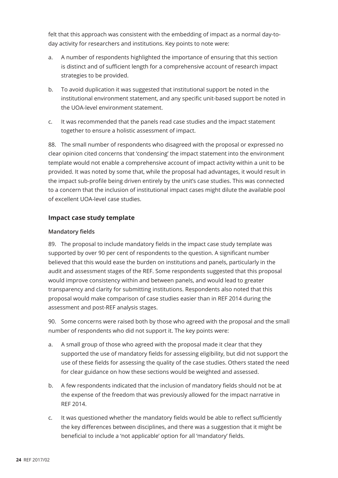felt that this approach was consistent with the embedding of impact as a normal day-today activity for researchers and institutions. Key points to note were:

- a. A number of respondents highlighted the importance of ensuring that this section is distinct and of sufficient length for a comprehensive account of research impact strategies to be provided.
- b. To avoid duplication it was suggested that institutional support be noted in the institutional environment statement, and any specific unit-based support be noted in the UOA-level environment statement.
- c. It was recommended that the panels read case studies and the impact statement together to ensure a holistic assessment of impact.

88. The small number of respondents who disagreed with the proposal or expressed no clear opinion cited concerns that 'condensing' the impact statement into the environment template would not enable a comprehensive account of impact activity within a unit to be provided. It was noted by some that, while the proposal had advantages, it would result in the impact sub-profile being driven entirely by the unit's case studies. This was connected to a concern that the inclusion of institutional impact cases might dilute the available pool of excellent UOA-level case studies.

#### **Impact case study template**

#### **Mandatory fields**

89. The proposal to include mandatory fields in the impact case study template was supported by over 90 per cent of respondents to the question. A significant number believed that this would ease the burden on institutions and panels, particularly in the audit and assessment stages of the REF. Some respondents suggested that this proposal would improve consistency within and between panels, and would lead to greater transparency and clarity for submitting institutions. Respondents also noted that this proposal would make comparison of case studies easier than in REF 2014 during the assessment and post-REF analysis stages.

90. Some concerns were raised both by those who agreed with the proposal and the small number of respondents who did not support it. The key points were:

- a. A small group of those who agreed with the proposal made it clear that they supported the use of mandatory fields for assessing eligibility, but did not support the use of these fields for assessing the quality of the case studies. Others stated the need for clear guidance on how these sections would be weighted and assessed.
- b. A few respondents indicated that the inclusion of mandatory fields should not be at the expense of the freedom that was previously allowed for the impact narrative in REF 2014.
- c. It was questioned whether the mandatory fields would be able to reflect sufficiently the key differences between disciplines, and there was a suggestion that it might be beneficial to include a 'not applicable' option for all 'mandatory' fields.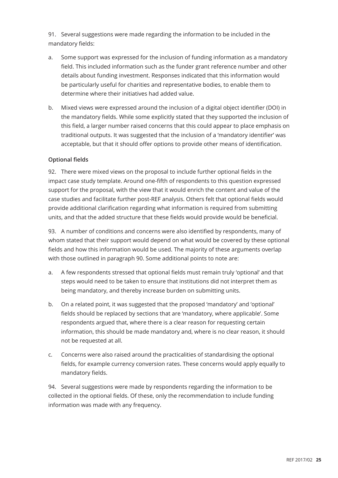91. Several suggestions were made regarding the information to be included in the mandatory fields:

- a. Some support was expressed for the inclusion of funding information as a mandatory field. This included information such as the funder grant reference number and other details about funding investment. Responses indicated that this information would be particularly useful for charities and representative bodies, to enable them to determine where their initiatives had added value.
- b. Mixed views were expressed around the inclusion of a digital object identifier (DOI) in the mandatory fields. While some explicitly stated that they supported the inclusion of this field, a larger number raised concerns that this could appear to place emphasis on traditional outputs. It was suggested that the inclusion of a 'mandatory identifier' was acceptable, but that it should offer options to provide other means of identification.

#### **Optional fields**

92. There were mixed views on the proposal to include further optional fields in the impact case study template. Around one-fifth of respondents to this question expressed support for the proposal, with the view that it would enrich the content and value of the case studies and facilitate further post-REF analysis. Others felt that optional fields would provide additional clarification regarding what information is required from submitting units, and that the added structure that these fields would provide would be beneficial.

93. A number of conditions and concerns were also identified by respondents, many of whom stated that their support would depend on what would be covered by these optional fields and how this information would be used. The majority of these arguments overlap with those outlined in paragraph 90. Some additional points to note are:

- a. A few respondents stressed that optional fields must remain truly 'optional' and that steps would need to be taken to ensure that institutions did not interpret them as being mandatory, and thereby increase burden on submitting units.
- b. On a related point, it was suggested that the proposed 'mandatory' and 'optional' fields should be replaced by sections that are 'mandatory, where applicable'. Some respondents argued that, where there is a clear reason for requesting certain information, this should be made mandatory and, where is no clear reason, it should not be requested at all.
- c. Concerns were also raised around the practicalities of standardising the optional fields, for example currency conversion rates. These concerns would apply equally to mandatory fields.

94. Several suggestions were made by respondents regarding the information to be collected in the optional fields. Of these, only the recommendation to include funding information was made with any frequency.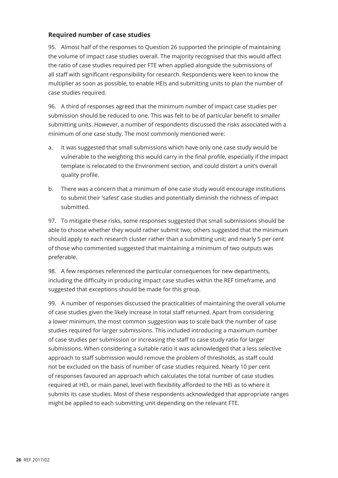#### **Required number of case studies**

95. Almost half of the responses to Question 26 supported the principle of maintaining the volume of impact case studies overall. The majority recognised that this would affect the ratio of case studies required per FTE when applied alongside the submissions of all staff with significant responsibility for research. Respondents were keen to know the multiplier as soon as possible, to enable HEIs and submitting units to plan the number of case studies required.

96. A third of responses agreed that the minimum number of impact case studies per submission should be reduced to one. This was felt to be of particular benefit to smaller submitting units. However, a number of respondents discussed the risks associated with a minimum of one case study. The most commonly mentioned were:

- a. It was suggested that small submissions which have only one case study would be vulnerable to the weighting this would carry in the final profile, especially if the impact template is relocated to the Environment section, and could distort a unit's overall quality profile.
- b. There was a concern that a minimum of one case study would encourage institutions to submit their 'safest' case studies and potentially diminish the richness of impact submitted.

97. To mitigate these risks, some responses suggested that small submissions should be able to choose whether they would rather submit two; others suggested that the minimum should apply to each research cluster rather than a submitting unit; and nearly 5 per cent of those who commented suggested that maintaining a minimum of two outputs was preferable.

98. A few responses referenced the particular consequences for new departments, including the difficulty in producing impact case studies within the REF timeframe, and suggested that exceptions should be made for this group.

99. A number of responses discussed the practicalities of maintaining the overall volume of case studies given the likely increase in total staff returned. Apart from considering a lower minimum, the most common suggestion was to scale back the number of case studies required for larger submissions. This included introducing a maximum number of case studies per submission or increasing the staff to case study ratio for larger submissions. When considering a suitable ratio it was acknowledged that a less selective approach to staff submission would remove the problem of thresholds, as staff could not be excluded on the basis of number of case studies required. Nearly 10 per cent of responses favoured an approach which calculates the total number of case studies required at HEI, or main panel, level with flexibility afforded to the HEI as to where it submits its case studies. Most of these respondents acknowledged that appropriate ranges might be applied to each submitting unit depending on the relevant FTE.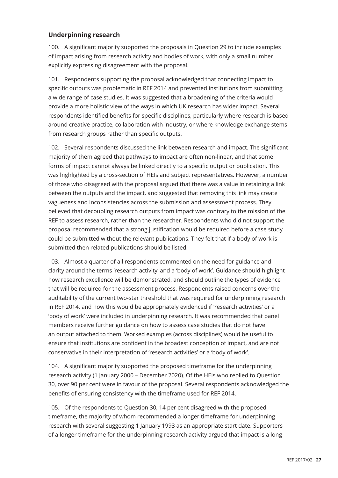#### **Underpinning research**

100. A significant majority supported the proposals in Question 29 to include examples of impact arising from research activity and bodies of work, with only a small number explicitly expressing disagreement with the proposal.

101. Respondents supporting the proposal acknowledged that connecting impact to specific outputs was problematic in REF 2014 and prevented institutions from submitting a wide range of case studies. It was suggested that a broadening of the criteria would provide a more holistic view of the ways in which UK research has wider impact. Several respondents identified benefits for specific disciplines, particularly where research is based around creative practice, collaboration with industry, or where knowledge exchange stems from research groups rather than specific outputs.

102. Several respondents discussed the link between research and impact. The significant majority of them agreed that pathways to impact are often non-linear, and that some forms of impact cannot always be linked directly to a specific output or publication. This was highlighted by a cross-section of HEIs and subject representatives. However, a number of those who disagreed with the proposal argued that there was a value in retaining a link between the outputs and the impact, and suggested that removing this link may create vagueness and inconsistencies across the submission and assessment process. They believed that decoupling research outputs from impact was contrary to the mission of the REF to assess research, rather than the researcher. Respondents who did not support the proposal recommended that a strong justification would be required before a case study could be submitted without the relevant publications. They felt that if a body of work is submitted then related publications should be listed.

103. Almost a quarter of all respondents commented on the need for guidance and clarity around the terms 'research activity' and a 'body of work'. Guidance should highlight how research excellence will be demonstrated, and should outline the types of evidence that will be required for the assessment process. Respondents raised concerns over the auditability of the current two-star threshold that was required for underpinning research in REF 2014, and how this would be appropriately evidenced if 'research activities' or a 'body of work' were included in underpinning research. It was recommended that panel members receive further guidance on how to assess case studies that do not have an output attached to them. Worked examples (across disciplines) would be useful to ensure that institutions are confident in the broadest conception of impact, and are not conservative in their interpretation of 'research activities' or a 'body of work'.

104. A significant majority supported the proposed timeframe for the underpinning research activity (1 January 2000 – December 2020). Of the HEIs who replied to Question 30, over 90 per cent were in favour of the proposal. Several respondents acknowledged the benefits of ensuring consistency with the timeframe used for REF 2014.

105. Of the respondents to Question 30, 14 per cent disagreed with the proposed timeframe, the majority of whom recommended a longer timeframe for underpinning research with several suggesting 1 January 1993 as an appropriate start date. Supporters of a longer timeframe for the underpinning research activity argued that impact is a long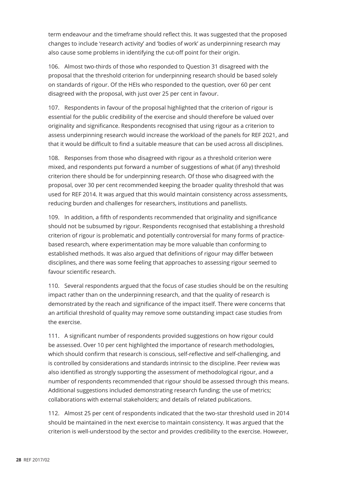term endeavour and the timeframe should reflect this. It was suggested that the proposed changes to include 'research activity' and 'bodies of work' as underpinning research may also cause some problems in identifying the cut-off point for their origin.

106. Almost two-thirds of those who responded to Question 31 disagreed with the proposal that the threshold criterion for underpinning research should be based solely on standards of rigour. Of the HEIs who responded to the question, over 60 per cent disagreed with the proposal, with just over 25 per cent in favour.

107. Respondents in favour of the proposal highlighted that the criterion of rigour is essential for the public credibility of the exercise and should therefore be valued over originality and significance. Respondents recognised that using rigour as a criterion to assess underpinning research would increase the workload of the panels for REF 2021, and that it would be difficult to find a suitable measure that can be used across all disciplines.

108. Responses from those who disagreed with rigour as a threshold criterion were mixed, and respondents put forward a number of suggestions of what (if any) threshold criterion there should be for underpinning research. Of those who disagreed with the proposal, over 30 per cent recommended keeping the broader quality threshold that was used for REF 2014. It was argued that this would maintain consistency across assessments, reducing burden and challenges for researchers, institutions and panellists.

109. In addition, a fifth of respondents recommended that originality and significance should not be subsumed by rigour. Respondents recognised that establishing a threshold criterion of rigour is problematic and potentially controversial for many forms of practicebased research, where experimentation may be more valuable than conforming to established methods. It was also argued that definitions of rigour may differ between disciplines, and there was some feeling that approaches to assessing rigour seemed to favour scientific research.

110. Several respondents argued that the focus of case studies should be on the resulting impact rather than on the underpinning research, and that the quality of research is demonstrated by the reach and significance of the impact itself. There were concerns that an artificial threshold of quality may remove some outstanding impact case studies from the exercise.

111. A significant number of respondents provided suggestions on how rigour could be assessed. Over 10 per cent highlighted the importance of research methodologies, which should confirm that research is conscious, self-reflective and self-challenging, and is controlled by considerations and standards intrinsic to the discipline. Peer review was also identified as strongly supporting the assessment of methodological rigour, and a number of respondents recommended that rigour should be assessed through this means. Additional suggestions included demonstrating research funding; the use of metrics; collaborations with external stakeholders; and details of related publications.

112. Almost 25 per cent of respondents indicated that the two-star threshold used in 2014 should be maintained in the next exercise to maintain consistency. It was argued that the criterion is well-understood by the sector and provides credibility to the exercise. However,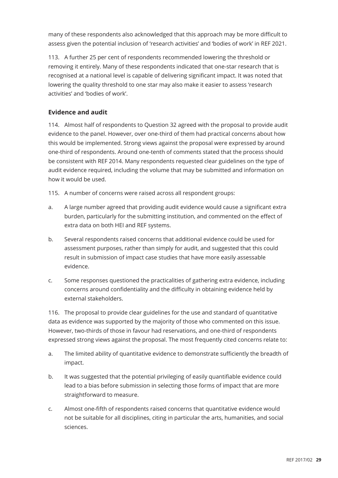many of these respondents also acknowledged that this approach may be more difficult to assess given the potential inclusion of 'research activities' and 'bodies of work' in REF 2021.

113. A further 25 per cent of respondents recommended lowering the threshold or removing it entirely. Many of these respondents indicated that one-star research that is recognised at a national level is capable of delivering significant impact. It was noted that lowering the quality threshold to one star may also make it easier to assess 'research activities' and 'bodies of work'.

#### **Evidence and audit**

114. Almost half of respondents to Question 32 agreed with the proposal to provide audit evidence to the panel. However, over one-third of them had practical concerns about how this would be implemented. Strong views against the proposal were expressed by around one-third of respondents. Around one-tenth of comments stated that the process should be consistent with REF 2014. Many respondents requested clear guidelines on the type of audit evidence required, including the volume that may be submitted and information on how it would be used.

115. A number of concerns were raised across all respondent groups:

- a. A large number agreed that providing audit evidence would cause a significant extra burden, particularly for the submitting institution, and commented on the effect of extra data on both HEI and REF systems.
- b. Several respondents raised concerns that additional evidence could be used for assessment purposes, rather than simply for audit, and suggested that this could result in submission of impact case studies that have more easily assessable evidence.
- c. Some responses questioned the practicalities of gathering extra evidence, including concerns around confidentiality and the difficulty in obtaining evidence held by external stakeholders.

116. The proposal to provide clear guidelines for the use and standard of quantitative data as evidence was supported by the majority of those who commented on this issue. However, two-thirds of those in favour had reservations, and one-third of respondents expressed strong views against the proposal. The most frequently cited concerns relate to:

- a. The limited ability of quantitative evidence to demonstrate sufficiently the breadth of impact.
- b. It was suggested that the potential privileging of easily quantifiable evidence could lead to a bias before submission in selecting those forms of impact that are more straightforward to measure.
- c. Almost one-fifth of respondents raised concerns that quantitative evidence would not be suitable for all disciplines, citing in particular the arts, humanities, and social sciences.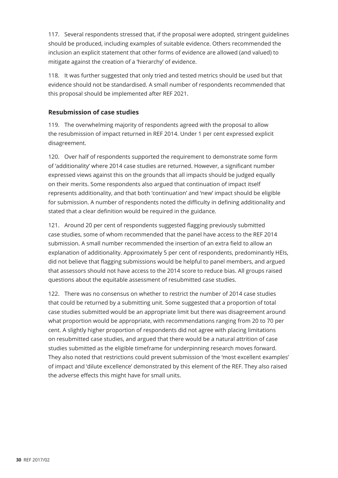117. Several respondents stressed that, if the proposal were adopted, stringent guidelines should be produced, including examples of suitable evidence. Others recommended the inclusion an explicit statement that other forms of evidence are allowed (and valued) to mitigate against the creation of a 'hierarchy' of evidence.

118. It was further suggested that only tried and tested metrics should be used but that evidence should not be standardised. A small number of respondents recommended that this proposal should be implemented after REF 2021.

#### **Resubmission of case studies**

119. The overwhelming majority of respondents agreed with the proposal to allow the resubmission of impact returned in REF 2014. Under 1 per cent expressed explicit disagreement.

120. Over half of respondents supported the requirement to demonstrate some form of 'additionality' where 2014 case studies are returned. However, a significant number expressed views against this on the grounds that all impacts should be judged equally on their merits. Some respondents also argued that continuation of impact itself represents additionality, and that both 'continuation' and 'new' impact should be eligible for submission. A number of respondents noted the difficulty in defining additionality and stated that a clear definition would be required in the guidance.

121. Around 20 per cent of respondents suggested flagging previously submitted case studies, some of whom recommended that the panel have access to the REF 2014 submission. A small number recommended the insertion of an extra field to allow an explanation of additionality. Approximately 5 per cent of respondents, predominantly HEIs, did not believe that flagging submissions would be helpful to panel members, and argued that assessors should not have access to the 2014 score to reduce bias. All groups raised questions about the equitable assessment of resubmitted case studies.

122. There was no consensus on whether to restrict the number of 2014 case studies that could be returned by a submitting unit. Some suggested that a proportion of total case studies submitted would be an appropriate limit but there was disagreement around what proportion would be appropriate, with recommendations ranging from 20 to 70 per cent. A slightly higher proportion of respondents did not agree with placing limitations on resubmitted case studies, and argued that there would be a natural attrition of case studies submitted as the eligible timeframe for underpinning research moves forward. They also noted that restrictions could prevent submission of the 'most excellent examples' of impact and 'dilute excellence' demonstrated by this element of the REF. They also raised the adverse effects this might have for small units.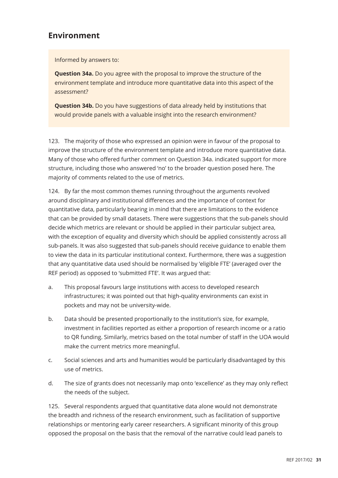## **Environment**

Informed by answers to:

**Question 34a.** Do you agree with the proposal to improve the structure of the environment template and introduce more quantitative data into this aspect of the assessment?

**Question 34b.** Do you have suggestions of data already held by institutions that would provide panels with a valuable insight into the research environment?

123. The majority of those who expressed an opinion were in favour of the proposal to improve the structure of the environment template and introduce more quantitative data. Many of those who offered further comment on Question 34a. indicated support for more structure, including those who answered 'no' to the broader question posed here. The majority of comments related to the use of metrics.

124. By far the most common themes running throughout the arguments revolved around disciplinary and institutional differences and the importance of context for quantitative data, particularly bearing in mind that there are limitations to the evidence that can be provided by small datasets. There were suggestions that the sub-panels should decide which metrics are relevant or should be applied in their particular subject area, with the exception of equality and diversity which should be applied consistently across all sub-panels. It was also suggested that sub-panels should receive guidance to enable them to view the data in its particular institutional context. Furthermore, there was a suggestion that any quantitative data used should be normalised by 'eligible FTE' (averaged over the REF period) as opposed to 'submitted FTE'. It was argued that:

- a. This proposal favours large institutions with access to developed research infrastructures; it was pointed out that high-quality environments can exist in pockets and may not be university-wide.
- b. Data should be presented proportionally to the institution's size, for example, investment in facilities reported as either a proportion of research income or a ratio to QR funding. Similarly, metrics based on the total number of staff in the UOA would make the current metrics more meaningful.
- c. Social sciences and arts and humanities would be particularly disadvantaged by this use of metrics.
- d. The size of grants does not necessarily map onto 'excellence' as they may only reflect the needs of the subject.

125. Several respondents argued that quantitative data alone would not demonstrate the breadth and richness of the research environment, such as facilitation of supportive relationships or mentoring early career researchers. A significant minority of this group opposed the proposal on the basis that the removal of the narrative could lead panels to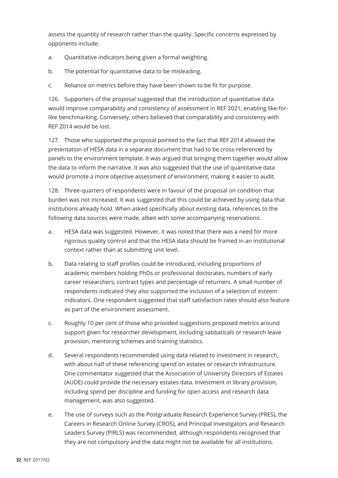assess the quantity of research rather than the quality. Specific concerns expressed by opponents include:

- a. Quantitative indicators being given a formal weighting.
- b. The potential for quantitative data to be misleading.
- c. Reliance on metrics before they have been shown to be fit for purpose.

126. Supporters of the proposal suggested that the introduction of quantitative data would improve comparability and consistency of assessment in REF 2021, enabling like-forlike benchmarking. Conversely, others believed that comparability and consistency with REF 2014 would be lost.

127. Those who supported the proposal pointed to the fact that REF 2014 allowed the presentation of HESA data in a separate document that had to be cross-referenced by panels to the environment template. It was argued that bringing them together would allow the data to inform the narrative. It was also suggested that the use of quantitative data would promote a more objective assessment of environment, making it easier to audit.

128. Three-quarters of respondents were in favour of the proposal on condition that burden was not increased. It was suggested that this could be achieved by using data that institutions already hold. When asked specifically about existing data, references to the following data sources were made, albeit with some accompanying reservations:

- a. HESA data was suggested. However, it was noted that there was a need for more rigorous quality control and that the HESA data should be framed in an institutional context rather than at submitting unit level.
- b. Data relating to staff profiles could be introduced, including proportions of academic members holding PhDs or professional doctorates, numbers of early career researchers, contract types and percentage of returners. A small number of respondents indicated they also supported the inclusion of a selection of esteem indicators. One respondent suggested that staff satisfaction rates should also feature as part of the environment assessment.
- c. Roughly 10 per cent of those who provided suggestions proposed metrics around support given for researcher development, including sabbaticals or research leave provision, mentoring schemes and training statistics.
- d. Several respondents recommended using data related to investment in research, with about half of these referencing spend on estates or research infrastructure. One commentator suggested that the Association of University Directors of Estates (AUDE) could provide the necessary estates data. Investment in library provision, including spend per discipline and funding for open access and research data management, was also suggested.
- e. The use of surveys such as the Postgraduate Research Experience Survey (PRES), the Careers in Research Online Survey (CROS), and Principal Investigators and Research Leaders Survey (PIRLS) was recommended, although respondents recognised that they are not compulsory and the data might not be available for all institutions.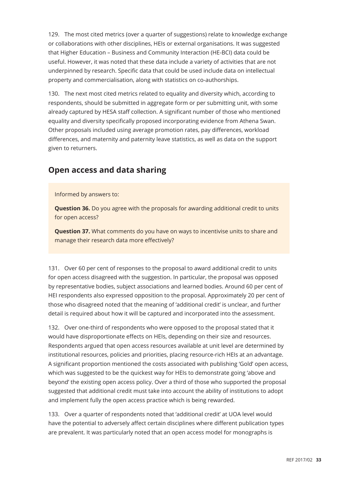129. The most cited metrics (over a quarter of suggestions) relate to knowledge exchange or collaborations with other disciplines, HEIs or external organisations. It was suggested that Higher Education – Business and Community Interaction (HE-BCI) data could be useful. However, it was noted that these data include a variety of activities that are not underpinned by research. Specific data that could be used include data on intellectual property and commercialisation, along with statistics on co-authorships.

130. The next most cited metrics related to equality and diversity which, according to respondents, should be submitted in aggregate form or per submitting unit, with some already captured by HESA staff collection. A significant number of those who mentioned equality and diversity specifically proposed incorporating evidence from Athena Swan. Other proposals included using average promotion rates, pay differences, workload differences, and maternity and paternity leave statistics, as well as data on the support given to returners.

## **Open access and data sharing**

Informed by answers to:

**Question 36.** Do you agree with the proposals for awarding additional credit to units for open access?

**Question 37.** What comments do you have on ways to incentivise units to share and manage their research data more effectively?

131. Over 60 per cent of responses to the proposal to award additional credit to units for open access disagreed with the suggestion. In particular, the proposal was opposed by representative bodies, subject associations and learned bodies. Around 60 per cent of HEI respondents also expressed opposition to the proposal. Approximately 20 per cent of those who disagreed noted that the meaning of 'additional credit' is unclear, and further detail is required about how it will be captured and incorporated into the assessment.

132. Over one-third of respondents who were opposed to the proposal stated that it would have disproportionate effects on HEIs, depending on their size and resources. Respondents argued that open access resources available at unit level are determined by institutional resources, policies and priorities, placing resource-rich HEIs at an advantage. A significant proportion mentioned the costs associated with publishing 'Gold' open access, which was suggested to be the quickest way for HEIs to demonstrate going 'above and beyond' the existing open access policy. Over a third of those who supported the proposal suggested that additional credit must take into account the ability of institutions to adopt and implement fully the open access practice which is being rewarded.

133. Over a quarter of respondents noted that 'additional credit' at UOA level would have the potential to adversely affect certain disciplines where different publication types are prevalent. It was particularly noted that an open access model for monographs is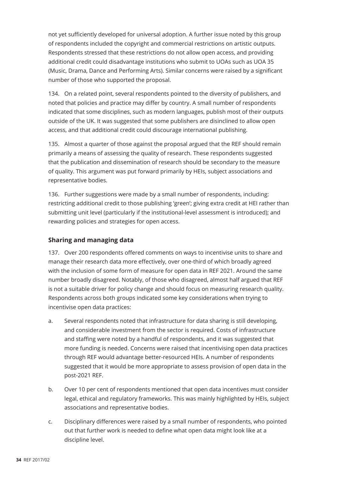not yet sufficiently developed for universal adoption. A further issue noted by this group of respondents included the copyright and commercial restrictions on artistic outputs. Respondents stressed that these restrictions do not allow open access, and providing additional credit could disadvantage institutions who submit to UOAs such as UOA 35 (Music, Drama, Dance and Performing Arts). Similar concerns were raised by a significant number of those who supported the proposal.

134. On a related point, several respondents pointed to the diversity of publishers, and noted that policies and practice may differ by country. A small number of respondents indicated that some disciplines, such as modern languages, publish most of their outputs outside of the UK. It was suggested that some publishers are disinclined to allow open access, and that additional credit could discourage international publishing.

135. Almost a quarter of those against the proposal argued that the REF should remain primarily a means of assessing the quality of research. These respondents suggested that the publication and dissemination of research should be secondary to the measure of quality. This argument was put forward primarily by HEIs, subject associations and representative bodies.

136. Further suggestions were made by a small number of respondents, including: restricting additional credit to those publishing 'green'; giving extra credit at HEI rather than submitting unit level (particularly if the institutional-level assessment is introduced); and rewarding policies and strategies for open access.

#### **Sharing and managing data**

137. Over 200 respondents offered comments on ways to incentivise units to share and manage their research data more effectively, over one-third of which broadly agreed with the inclusion of some form of measure for open data in REF 2021. Around the same number broadly disagreed. Notably, of those who disagreed, almost half argued that REF is not a suitable driver for policy change and should focus on measuring research quality. Respondents across both groups indicated some key considerations when trying to incentivise open data practices:

- a. Several respondents noted that infrastructure for data sharing is still developing, and considerable investment from the sector is required. Costs of infrastructure and staffing were noted by a handful of respondents, and it was suggested that more funding is needed. Concerns were raised that incentivising open data practices through REF would advantage better-resourced HEIs. A number of respondents suggested that it would be more appropriate to assess provision of open data in the post-2021 REF.
- b. Over 10 per cent of respondents mentioned that open data incentives must consider legal, ethical and regulatory frameworks. This was mainly highlighted by HEIs, subject associations and representative bodies.
- c. Disciplinary differences were raised by a small number of respondents, who pointed out that further work is needed to define what open data might look like at a discipline level.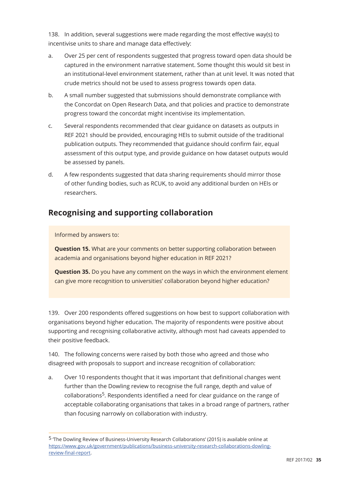138. In addition, several suggestions were made regarding the most effective way(s) to incentivise units to share and manage data effectively:

- a. Over 25 per cent of respondents suggested that progress toward open data should be captured in the environment narrative statement. Some thought this would sit best in an institutional-level environment statement, rather than at unit level. It was noted that crude metrics should not be used to assess progress towards open data.
- b. A small number suggested that submissions should demonstrate compliance with the Concordat on Open Research Data, and that policies and practice to demonstrate progress toward the concordat might incentivise its implementation.
- c. Several respondents recommended that clear guidance on datasets as outputs in REF 2021 should be provided, encouraging HEIs to submit outside of the traditional publication outputs. They recommended that guidance should confirm fair, equal assessment of this output type, and provide guidance on how dataset outputs would be assessed by panels.
- d. A few respondents suggested that data sharing requirements should mirror those of other funding bodies, such as RCUK, to avoid any additional burden on HEIs or researchers.

## **Recognising and supporting collaboration**

#### Informed by answers to:

**Question 15.** What are your comments on better supporting collaboration between academia and organisations beyond higher education in REF 2021?

**Question 35.** Do you have any comment on the ways in which the environment element can give more recognition to universities' collaboration beyond higher education?

139. Over 200 respondents offered suggestions on how best to support collaboration with organisations beyond higher education. The majority of respondents were positive about supporting and recognising collaborative activity, although most had caveats appended to their positive feedback.

140. The following concerns were raised by both those who agreed and those who disagreed with proposals to support and increase recognition of collaboration:

a. Over 10 respondents thought that it was important that definitional changes went further than the Dowling review to recognise the full range, depth and value of collaborations5. Respondents identified a need for clear guidance on the range of acceptable collaborating organisations that takes in a broad range of partners, rather than focusing narrowly on collaboration with industry.

<sup>5 &#</sup>x27;The Dowling Review of Business-University Research Collaborations' (2015) is available online at https://www.gov.uk/government/publications/business-university-research-collaborations-dowlingreview-final-report.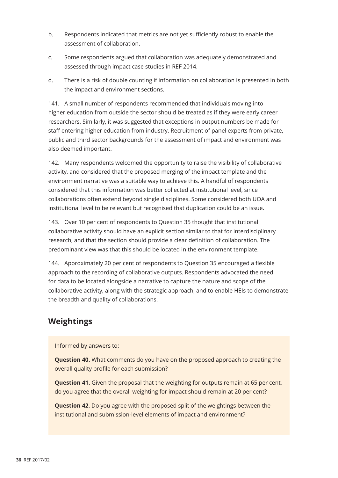- b. Respondents indicated that metrics are not yet sufficiently robust to enable the assessment of collaboration.
- c. Some respondents argued that collaboration was adequately demonstrated and assessed through impact case studies in REF 2014.
- d. There is a risk of double counting if information on collaboration is presented in both the impact and environment sections.

141. A small number of respondents recommended that individuals moving into higher education from outside the sector should be treated as if they were early career researchers. Similarly, it was suggested that exceptions in output numbers be made for staff entering higher education from industry. Recruitment of panel experts from private, public and third sector backgrounds for the assessment of impact and environment was also deemed important.

142. Many respondents welcomed the opportunity to raise the visibility of collaborative activity, and considered that the proposed merging of the impact template and the environment narrative was a suitable way to achieve this. A handful of respondents considered that this information was better collected at institutional level, since collaborations often extend beyond single disciplines. Some considered both UOA and institutional level to be relevant but recognised that duplication could be an issue.

143. Over 10 per cent of respondents to Question 35 thought that institutional collaborative activity should have an explicit section similar to that for interdisciplinary research, and that the section should provide a clear definition of collaboration. The predominant view was that this should be located in the environment template.

144. Approximately 20 per cent of respondents to Question 35 encouraged a flexible approach to the recording of collaborative outputs. Respondents advocated the need for data to be located alongside a narrative to capture the nature and scope of the collaborative activity, along with the strategic approach, and to enable HEIs to demonstrate the breadth and quality of collaborations.

## **Weightings**

#### Informed by answers to:

**Question 40.** What comments do you have on the proposed approach to creating the overall quality profile for each submission?

**Question 41.** Given the proposal that the weighting for outputs remain at 65 per cent, do you agree that the overall weighting for impact should remain at 20 per cent?

**Question 42**. Do you agree with the proposed split of the weightings between the institutional and submission-level elements of impact and environment?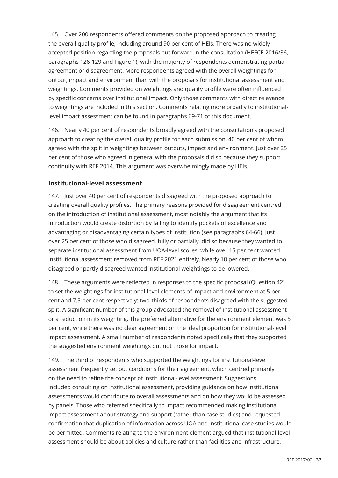145. Over 200 respondents offered comments on the proposed approach to creating the overall quality profile, including around 90 per cent of HEIs. There was no widely accepted position regarding the proposals put forward in the consultation (HEFCE 2016/36, paragraphs 126-129 and Figure 1), with the majority of respondents demonstrating partial agreement or disagreement. More respondents agreed with the overall weightings for output, impact and environment than with the proposals for institutional assessment and weightings. Comments provided on weightings and quality profile were often influenced by specific concerns over institutional impact. Only those comments with direct relevance to weightings are included in this section. Comments relating more broadly to institutionallevel impact assessment can be found in paragraphs 69-71 of this document.

146. Nearly 40 per cent of respondents broadly agreed with the consultation's proposed approach to creating the overall quality profile for each submission, 40 per cent of whom agreed with the split in weightings between outputs, impact and environment. Just over 25 per cent of those who agreed in general with the proposals did so because they support continuity with REF 2014. This argument was overwhelmingly made by HEIs.

#### **Institutional-level assessment**

147. Just over 40 per cent of respondents disagreed with the proposed approach to creating overall quality profiles. The primary reasons provided for disagreement centred on the introduction of institutional assessment, most notably the argument that its introduction would create distortion by failing to identify pockets of excellence and advantaging or disadvantaging certain types of institution (see paragraphs 64-66). Just over 25 per cent of those who disagreed, fully or partially, did so because they wanted to separate institutional assessment from UOA-level scores, while over 15 per cent wanted institutional assessment removed from REF 2021 entirely. Nearly 10 per cent of those who disagreed or partly disagreed wanted institutional weightings to be lowered.

148. These arguments were reflected in responses to the specific proposal (Question 42) to set the weightings for institutional-level elements of impact and environment at 5 per cent and 7.5 per cent respectively: two-thirds of respondents disagreed with the suggested split. A significant number of this group advocated the removal of institutional assessment or a reduction in its weighting. The preferred alternative for the environment element was 5 per cent, while there was no clear agreement on the ideal proportion for institutional-level impact assessment. A small number of respondents noted specifically that they supported the suggested environment weightings but not those for impact.

149. The third of respondents who supported the weightings for institutional-level assessment frequently set out conditions for their agreement, which centred primarily on the need to refine the concept of institutional-level assessment. Suggestions included consulting on institutional assessment, providing guidance on how institutional assessments would contribute to overall assessments and on how they would be assessed by panels. Those who referred specifically to impact recommended making institutional impact assessment about strategy and support (rather than case studies) and requested confirmation that duplication of information across UOA and institutional case studies would be permitted. Comments relating to the environment element argued that institutional-level assessment should be about policies and culture rather than facilities and infrastructure.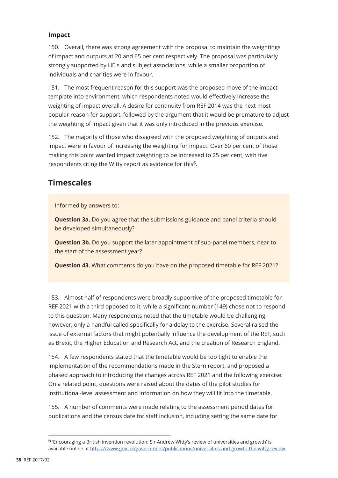#### **Impact**

150. Overall, there was strong agreement with the proposal to maintain the weightings of impact and outputs at 20 and 65 per cent respectively. The proposal was particularly strongly supported by HEIs and subject associations, while a smaller proportion of individuals and charities were in favour.

151. The most frequent reason for this support was the proposed move of the impact template into environment, which respondents noted would effectively increase the weighting of impact overall. A desire for continuity from REF 2014 was the next most popular reason for support, followed by the argument that it would be premature to adjust the weighting of impact given that it was only introduced in the previous exercise.

152. The majority of those who disagreed with the proposed weighting of outputs and impact were in favour of increasing the weighting for impact. Over 60 per cent of those making this point wanted impact weighting to be increased to 25 per cent, with five respondents citing the Witty report as evidence for this<sup>6</sup>.

## **Timescales**

Informed by answers to:

**Question 3a.** Do you agree that the submissions guidance and panel criteria should be developed simultaneously?

**Question 3b.** Do you support the later appointment of sub-panel members, near to the start of the assessment year?

**Question 43.** What comments do you have on the proposed timetable for REF 2021?

153. Almost half of respondents were broadly supportive of the proposed timetable for REF 2021 with a third opposed to it, while a significant number (149) chose not to respond to this question. Many respondents noted that the timetable would be challenging; however, only a handful called specifically for a delay to the exercise. Several raised the issue of external factors that might potentially influence the development of the REF, such as Brexit, the Higher Education and Research Act, and the creation of Research England.

154. A few respondents stated that the timetable would be too tight to enable the implementation of the recommendations made in the Stern report, and proposed a phased approach to introducing the changes across REF 2021 and the following exercise. On a related point, questions were raised about the dates of the pilot studies for institutional-level assessment and information on how they will fit into the timetable.

155. A number of comments were made relating to the assessment period dates for publications and the census date for staff inclusion, including setting the same date for

<sup>6 &#</sup>x27;Encouraging a British invention revolution: Sir Andrew Witty's review of universities and growth' is available online at https://www.gov.uk/government/publications/universities-and-growth-the-witty-review.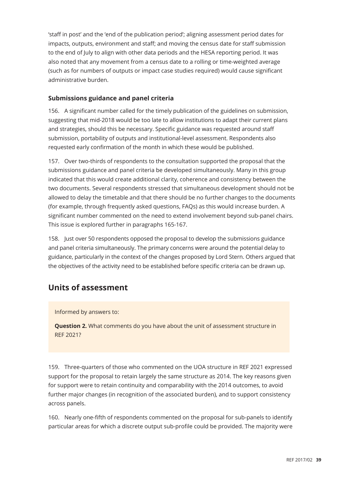'staff in post' and the 'end of the publication period'; aligning assessment period dates for impacts, outputs, environment and staff; and moving the census date for staff submission to the end of July to align with other data periods and the HESA reporting period. It was also noted that any movement from a census date to a rolling or time-weighted average (such as for numbers of outputs or impact case studies required) would cause significant administrative burden.

#### **Submissions guidance and panel criteria**

156. A significant number called for the timely publication of the guidelines on submission, suggesting that mid-2018 would be too late to allow institutions to adapt their current plans and strategies, should this be necessary. Specific guidance was requested around staff submission, portability of outputs and institutional-level assessment. Respondents also requested early confirmation of the month in which these would be published.

157. Over two-thirds of respondents to the consultation supported the proposal that the submissions guidance and panel criteria be developed simultaneously. Many in this group indicated that this would create additional clarity, coherence and consistency between the two documents. Several respondents stressed that simultaneous development should not be allowed to delay the timetable and that there should be no further changes to the documents (for example, through frequently asked questions, FAQs) as this would increase burden. A significant number commented on the need to extend involvement beyond sub-panel chairs. This issue is explored further in paragraphs 165-167.

158. Just over 50 respondents opposed the proposal to develop the submissions guidance and panel criteria simultaneously. The primary concerns were around the potential delay to guidance, particularly in the context of the changes proposed by Lord Stern. Others argued that the objectives of the activity need to be established before specific criteria can be drawn up.

## **Units of assessment**

#### Informed by answers to:

**Question 2.** What comments do you have about the unit of assessment structure in REF 2021?

159. Three-quarters of those who commented on the UOA structure in REF 2021 expressed support for the proposal to retain largely the same structure as 2014. The key reasons given for support were to retain continuity and comparability with the 2014 outcomes, to avoid further major changes (in recognition of the associated burden), and to support consistency across panels.

160. Nearly one-fifth of respondents commented on the proposal for sub-panels to identify particular areas for which a discrete output sub-profile could be provided. The majority were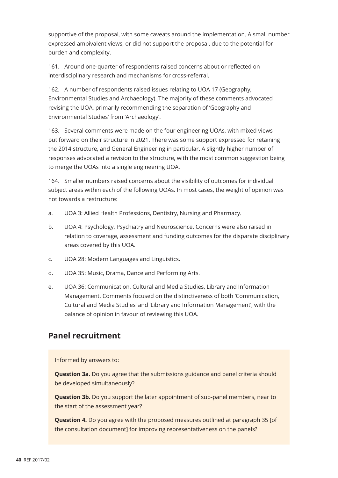supportive of the proposal, with some caveats around the implementation. A small number expressed ambivalent views, or did not support the proposal, due to the potential for burden and complexity.

161. Around one-quarter of respondents raised concerns about or reflected on interdisciplinary research and mechanisms for cross-referral.

162. A number of respondents raised issues relating to UOA 17 (Geography, Environmental Studies and Archaeology). The majority of these comments advocated revising the UOA, primarily recommending the separation of 'Geography and Environmental Studies' from 'Archaeology'.

163. Several comments were made on the four engineering UOAs, with mixed views put forward on their structure in 2021. There was some support expressed for retaining the 2014 structure, and General Engineering in particular. A slightly higher number of responses advocated a revision to the structure, with the most common suggestion being to merge the UOAs into a single engineering UOA.

164. Smaller numbers raised concerns about the visibility of outcomes for individual subject areas within each of the following UOAs. In most cases, the weight of opinion was not towards a restructure:

- a. UOA 3: Allied Health Professions, Dentistry, Nursing and Pharmacy.
- b. UOA 4: Psychology, Psychiatry and Neuroscience. Concerns were also raised in relation to coverage, assessment and funding outcomes for the disparate disciplinary areas covered by this UOA.
- c. UOA 28: Modern Languages and Linguistics.
- d. UOA 35: Music, Drama, Dance and Performing Arts.
- e. UOA 36: Communication, Cultural and Media Studies, Library and Information Management. Comments focused on the distinctiveness of both 'Communication, Cultural and Media Studies' and 'Library and Information Management', with the balance of opinion in favour of reviewing this UOA.

## **Panel recruitment**

Informed by answers to:

**Question 3a.** Do you agree that the submissions guidance and panel criteria should be developed simultaneously?

**Question 3b.** Do you support the later appointment of sub-panel members, near to the start of the assessment year?

**Question 4.** Do you agree with the proposed measures outlined at paragraph 35 [of the consultation document] for improving representativeness on the panels?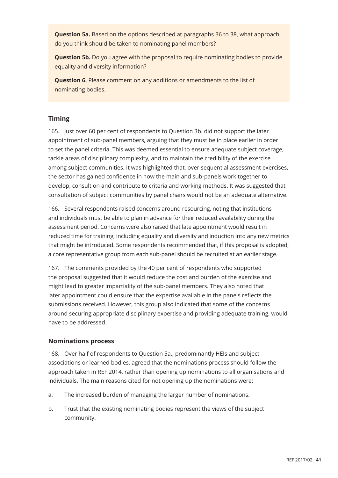**Question 5a.** Based on the options described at paragraphs 36 to 38, what approach do you think should be taken to nominating panel members?

**Question 5b.** Do you agree with the proposal to require nominating bodies to provide equality and diversity information?

**Question 6.** Please comment on any additions or amendments to the list of nominating bodies.

#### **Timing**

165. Just over 60 per cent of respondents to Question 3b. did not support the later appointment of sub-panel members, arguing that they must be in place earlier in order to set the panel criteria. This was deemed essential to ensure adequate subject coverage, tackle areas of disciplinary complexity, and to maintain the credibility of the exercise among subject communities. It was highlighted that, over sequential assessment exercises, the sector has gained confidence in how the main and sub-panels work together to develop, consult on and contribute to criteria and working methods. It was suggested that consultation of subject communities by panel chairs would not be an adequate alternative.

166. Several respondents raised concerns around resourcing, noting that institutions and individuals must be able to plan in advance for their reduced availability during the assessment period. Concerns were also raised that late appointment would result in reduced time for training, including equality and diversity and induction into any new metrics that might be introduced. Some respondents recommended that, if this proposal is adopted, a core representative group from each sub-panel should be recruited at an earlier stage.

167. The comments provided by the 40 per cent of respondents who supported the proposal suggested that it would reduce the cost and burden of the exercise and might lead to greater impartiality of the sub-panel members. They also noted that later appointment could ensure that the expertise available in the panels reflects the submissions received. However, this group also indicated that some of the concerns around securing appropriate disciplinary expertise and providing adequate training, would have to be addressed.

#### **Nominations process**

168. Over half of respondents to Question 5a., predominantly HEIs and subject associations or learned bodies, agreed that the nominations process should follow the approach taken in REF 2014, rather than opening up nominations to all organisations and individuals. The main reasons cited for not opening up the nominations were:

- a. The increased burden of managing the larger number of nominations.
- b. Trust that the existing nominating bodies represent the views of the subject community.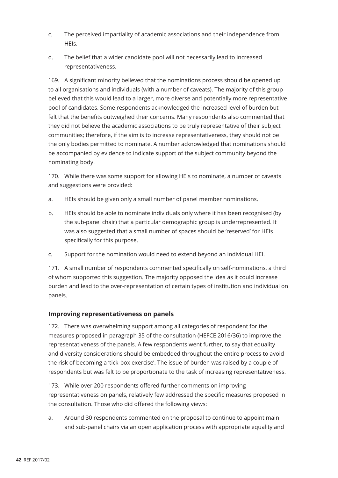- c. The perceived impartiality of academic associations and their independence from HEIs.
- d. The belief that a wider candidate pool will not necessarily lead to increased representativeness.

169. A significant minority believed that the nominations process should be opened up to all organisations and individuals (with a number of caveats). The majority of this group believed that this would lead to a larger, more diverse and potentially more representative pool of candidates. Some respondents acknowledged the increased level of burden but felt that the benefits outweighed their concerns. Many respondents also commented that they did not believe the academic associations to be truly representative of their subject communities; therefore, if the aim is to increase representativeness, they should not be the only bodies permitted to nominate. A number acknowledged that nominations should be accompanied by evidence to indicate support of the subject community beyond the nominating body.

170. While there was some support for allowing HEIs to nominate, a number of caveats and suggestions were provided:

- a. HEIs should be given only a small number of panel member nominations.
- b. HEIs should be able to nominate individuals only where it has been recognised (by the sub-panel chair) that a particular demographic group is underrepresented. It was also suggested that a small number of spaces should be 'reserved' for HEIs specifically for this purpose.
- c. Support for the nomination would need to extend beyond an individual HEI.

171. A small number of respondents commented specifically on self-nominations, a third of whom supported this suggestion. The majority opposed the idea as it could increase burden and lead to the over-representation of certain types of institution and individual on panels.

#### **Improving representativeness on panels**

172. There was overwhelming support among all categories of respondent for the measures proposed in paragraph 35 of the consultation (HEFCE 2016/36) to improve the representativeness of the panels. A few respondents went further, to say that equality and diversity considerations should be embedded throughout the entire process to avoid the risk of becoming a 'tick-box exercise'. The issue of burden was raised by a couple of respondents but was felt to be proportionate to the task of increasing representativeness.

173. While over 200 respondents offered further comments on improving representativeness on panels, relatively few addressed the specific measures proposed in the consultation. Those who did offered the following views:

a. Around 30 respondents commented on the proposal to continue to appoint main and sub-panel chairs via an open application process with appropriate equality and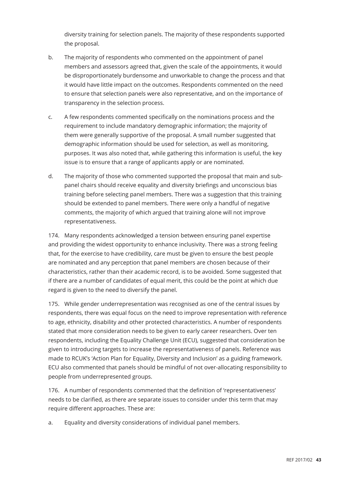diversity training for selection panels. The majority of these respondents supported the proposal.

- b. The majority of respondents who commented on the appointment of panel members and assessors agreed that, given the scale of the appointments, it would be disproportionately burdensome and unworkable to change the process and that it would have little impact on the outcomes. Respondents commented on the need to ensure that selection panels were also representative, and on the importance of transparency in the selection process.
- c. A few respondents commented specifically on the nominations process and the requirement to include mandatory demographic information; the majority of them were generally supportive of the proposal. A small number suggested that demographic information should be used for selection, as well as monitoring, purposes. It was also noted that, while gathering this information is useful, the key issue is to ensure that a range of applicants apply or are nominated.
- d. The majority of those who commented supported the proposal that main and subpanel chairs should receive equality and diversity briefings and unconscious bias training before selecting panel members. There was a suggestion that this training should be extended to panel members. There were only a handful of negative comments, the majority of which argued that training alone will not improve representativeness.

174. Many respondents acknowledged a tension between ensuring panel expertise and providing the widest opportunity to enhance inclusivity. There was a strong feeling that, for the exercise to have credibility, care must be given to ensure the best people are nominated and any perception that panel members are chosen because of their characteristics, rather than their academic record, is to be avoided. Some suggested that if there are a number of candidates of equal merit, this could be the point at which due regard is given to the need to diversify the panel.

175. While gender underrepresentation was recognised as one of the central issues by respondents, there was equal focus on the need to improve representation with reference to age, ethnicity, disability and other protected characteristics. A number of respondents stated that more consideration needs to be given to early career researchers. Over ten respondents, including the Equality Challenge Unit (ECU), suggested that consideration be given to introducing targets to increase the representativeness of panels. Reference was made to RCUK's 'Action Plan for Equality, Diversity and Inclusion' as a guiding framework. ECU also commented that panels should be mindful of not over-allocating responsibility to people from underrepresented groups.

176. A number of respondents commented that the definition of 'representativeness' needs to be clarified, as there are separate issues to consider under this term that may require different approaches. These are:

a. Equality and diversity considerations of individual panel members.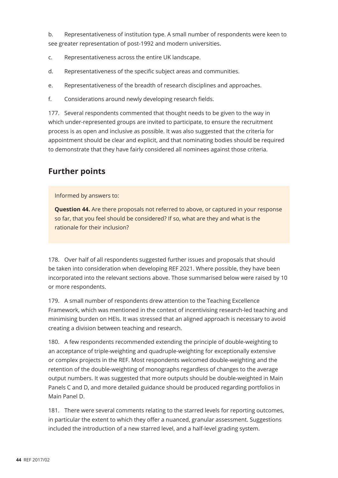b. Representativeness of institution type. A small number of respondents were keen to see greater representation of post-1992 and modern universities.

- c. Representativeness across the entire UK landscape.
- d. Representativeness of the specific subject areas and communities.
- e. Representativeness of the breadth of research disciplines and approaches.
- f. Considerations around newly developing research fields.

177. Several respondents commented that thought needs to be given to the way in which under-represented groups are invited to participate, to ensure the recruitment process is as open and inclusive as possible. It was also suggested that the criteria for appointment should be clear and explicit, and that nominating bodies should be required to demonstrate that they have fairly considered all nominees against those criteria.

## **Further points**

Informed by answers to:

**Question 44.** Are there proposals not referred to above, or captured in your response so far, that you feel should be considered? If so, what are they and what is the rationale for their inclusion?

178. Over half of all respondents suggested further issues and proposals that should be taken into consideration when developing REF 2021. Where possible, they have been incorporated into the relevant sections above. Those summarised below were raised by 10 or more respondents.

179. A small number of respondents drew attention to the Teaching Excellence Framework, which was mentioned in the context of incentivising research-led teaching and minimising burden on HEIs. It was stressed that an aligned approach is necessary to avoid creating a division between teaching and research.

180. A few respondents recommended extending the principle of double-weighting to an acceptance of triple-weighting and quadruple-weighting for exceptionally extensive or complex projects in the REF. Most respondents welcomed double-weighting and the retention of the double-weighting of monographs regardless of changes to the average output numbers. It was suggested that more outputs should be double-weighted in Main Panels C and D, and more detailed guidance should be produced regarding portfolios in Main Panel D.

181. There were several comments relating to the starred levels for reporting outcomes, in particular the extent to which they offer a nuanced, granular assessment. Suggestions included the introduction of a new starred level, and a half-level grading system.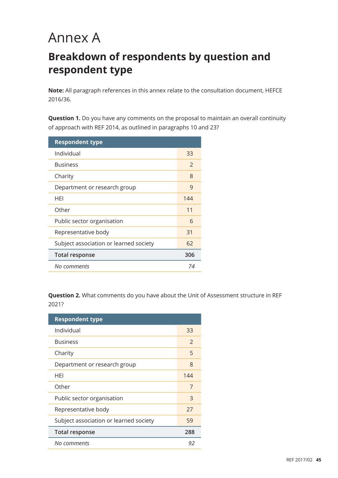# Annex A

## **Breakdown of respondents by question and respondent type**

**Note:** All paragraph references in this annex relate to the consultation document, HEFCE 2016/36.

**Question 1.** Do you have any comments on the proposal to maintain an overall continuity of approach with REF 2014, as outlined in paragraphs 10 and 23?

| <b>Respondent type</b>                 |               |
|----------------------------------------|---------------|
| Individual                             | 33            |
| <b>Business</b>                        | $\mathcal{P}$ |
| Charity                                | 8             |
| Department or research group           | 9             |
| HEI                                    | 144           |
| Other                                  | 11            |
| Public sector organisation             | 6             |
| Representative body                    | 31            |
| Subject association or learned society | 62            |
| <b>Total response</b>                  | 306           |
| No comments                            | 74            |

**Question 2.** What comments do you have about the Unit of Assessment structure in REF 2021?

| <b>Respondent type</b>                 |               |
|----------------------------------------|---------------|
| Individual                             | 33            |
| <b>Business</b>                        | $\mathcal{P}$ |
| Charity                                | 5             |
| Department or research group           | 8             |
| HFI                                    | 144           |
| Other                                  | 7             |
| Public sector organisation             | 3             |
| Representative body                    | 27            |
| Subject association or learned society | 59            |
| <b>Total response</b>                  | 288           |
| No comments                            | 92            |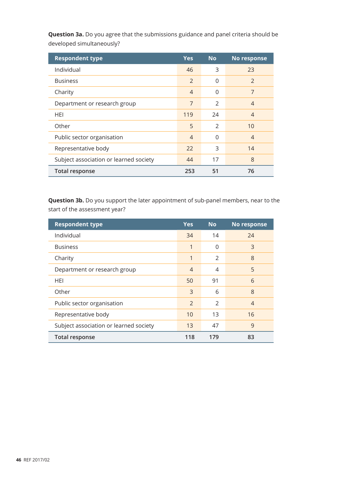| <b>Respondent type</b>                 | <b>Yes</b>     | <b>No</b>     | No response    |
|----------------------------------------|----------------|---------------|----------------|
| Individual                             | 46             | 3             | 23             |
| <b>Business</b>                        | $\overline{2}$ | 0             | $\mathcal{P}$  |
| Charity                                | $\overline{4}$ | 0             | 7              |
| Department or research group           | 7              | $\mathcal{P}$ | $\overline{4}$ |
| <b>HEI</b>                             | 119            | 24            | 4              |
| Other                                  | 5              | $\mathcal{P}$ | 10             |
| Public sector organisation             | $\overline{4}$ | 0             | $\overline{4}$ |
| Representative body                    | 22             | 3             | 14             |
| Subject association or learned society | 44             | 17            | 8              |
| <b>Total response</b>                  | 253            | 51            | 76             |

**Question 3a.** Do you agree that the submissions guidance and panel criteria should be developed simultaneously?

**Question 3b.** Do you support the later appointment of sub-panel members, near to the start of the assessment year?

| <b>Respondent type</b>                 | <b>Yes</b>     | <b>No</b>     | No response    |
|----------------------------------------|----------------|---------------|----------------|
| Individual                             | 34             | 14            | 24             |
| <b>Business</b>                        | 1              | $\Omega$      | 3              |
| Charity                                | 1              | 2             | 8              |
| Department or research group           | 4              | 4             | 5              |
| HEI                                    | 50             | 91            | 6              |
| Other                                  | 3              | 6             | 8              |
| Public sector organisation             | $\mathfrak{D}$ | $\mathcal{P}$ | $\overline{4}$ |
| Representative body                    | 10             | 13            | 16             |
| Subject association or learned society | 13             | 47            | 9              |
| <b>Total response</b>                  | 118            | 179           | 83             |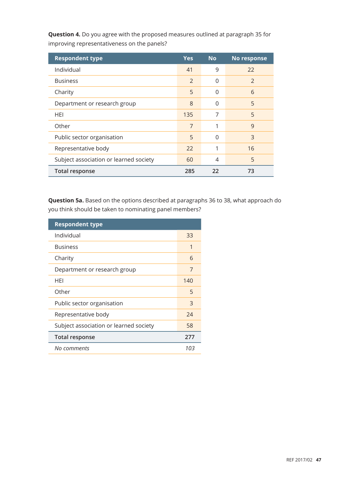| <b>Respondent type</b>                 | <b>Yes</b> | <b>No</b> | No response   |
|----------------------------------------|------------|-----------|---------------|
| Individual                             | 41         | 9         | 22            |
| <b>Business</b>                        | 2          | 0         | $\mathcal{P}$ |
| Charity                                | 5          | 0         | 6             |
| Department or research group           | 8          | 0         | 5             |
| HEI                                    | 135        | 7         | 5             |
| Other                                  | 7          | 1         | 9             |
| Public sector organisation             | 5          | 0         | 3             |
| Representative body                    | 22         | 1         | 16            |
| Subject association or learned society | 60         | 4         | 5             |
| <b>Total response</b>                  | 285        | 22        | 73            |

**Question 4.** Do you agree with the proposed measures outlined at paragraph 35 for improving representativeness on the panels?

**Question 5a.** Based on the options described at paragraphs 36 to 38, what approach do you think should be taken to nominating panel members?

| <b>Respondent type</b>                 |     |
|----------------------------------------|-----|
| Individual                             | 33  |
| <b>Business</b>                        | 1   |
| Charity                                | 6   |
| Department or research group           | 7   |
| HEI                                    | 140 |
| Other                                  | 5   |
| Public sector organisation             | 3   |
| Representative body                    | 24  |
| Subject association or learned society | 58  |
| <b>Total response</b>                  | 277 |
| No comments                            | 103 |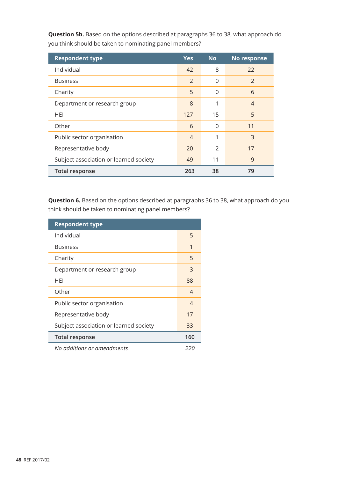| <b>Respondent type</b>                 | <b>Yes</b>     | <b>No</b>     | No response    |
|----------------------------------------|----------------|---------------|----------------|
| Individual                             | 42             | 8             | 22             |
| <b>Business</b>                        | $\mathcal{P}$  | 0             | $\mathcal{P}$  |
| Charity                                | 5              | 0             | 6              |
| Department or research group           | 8              | 1             | $\overline{4}$ |
| HEI                                    | 127            | 15            | 5              |
| Other                                  | 6              | $\Omega$      | 11             |
| Public sector organisation             | $\overline{4}$ | 1             | 3              |
| Representative body                    | 20             | $\mathcal{P}$ | 17             |
| Subject association or learned society | 49             | 11            | 9              |
| <b>Total response</b>                  | 263            | 38            | 79             |

**Question 5b.** Based on the options described at paragraphs 36 to 38, what approach do you think should be taken to nominating panel members?

**Question 6.** Based on the options described at paragraphs 36 to 38, what approach do you think should be taken to nominating panel members?

| <b>Respondent type</b>                 |                |
|----------------------------------------|----------------|
| Individual                             | 5              |
| <b>Business</b>                        | 1              |
| Charity                                | 5              |
| Department or research group           | 3              |
| HFI                                    | 88             |
| Other                                  | $\overline{4}$ |
| Public sector organisation             | 4              |
| Representative body                    | 17             |
| Subject association or learned society | 33             |
| <b>Total response</b>                  | 160            |
| No additions or amendments             | 220            |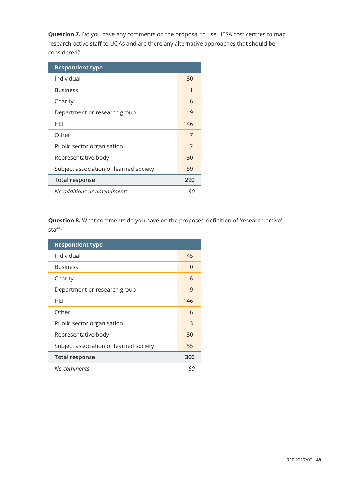**Question 7.** Do you have any comments on the proposal to use HESA cost centres to map research-active staff to UOAs and are there any alternative approaches that should be considered?

| <b>Respondent type</b>                 |               |
|----------------------------------------|---------------|
| Individual                             | 30            |
| <b>Business</b>                        | 1             |
| Charity                                | 6             |
| Department or research group           | 9             |
| HFI                                    | 146           |
| Other                                  | 7             |
| Public sector organisation             | $\mathcal{P}$ |
| Representative body                    | 30            |
| Subject association or learned society | 59            |
| <b>Total response</b>                  | 290           |
| No additions or amendments             | 90            |

**Question 8.** What comments do you have on the proposed definition of 'research-active' staff?

| <b>Respondent type</b>                 |     |
|----------------------------------------|-----|
| Individual                             | 45  |
| <b>Business</b>                        | 0   |
| Charity                                | 6   |
| Department or research group           | 9   |
| HEI                                    | 146 |
| Other                                  | 6   |
| Public sector organisation             | 3   |
| Representative body                    | 30  |
| Subject association or learned society | 55  |
| <b>Total response</b>                  | 300 |
| No comments                            | 80  |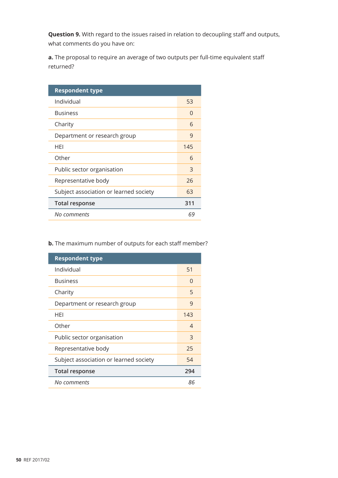**Question 9.** With regard to the issues raised in relation to decoupling staff and outputs, what comments do you have on:

**a.** The proposal to require an average of two outputs per full-time equivalent staff returned?

| <b>Respondent type</b>                 |          |
|----------------------------------------|----------|
| Individual                             | 53       |
| <b>Business</b>                        | $\Omega$ |
| Charity                                | 6        |
| Department or research group           | 9        |
| HEI                                    | 145      |
| Other                                  | 6        |
| Public sector organisation             | 3        |
| Representative body                    | 26       |
| Subject association or learned society | 63       |
| <b>Total response</b>                  | 311      |
| No comments                            | 69       |

**b.** The maximum number of outputs for each staff member?

| <b>Respondent type</b>                 |     |
|----------------------------------------|-----|
| Individual                             | 51  |
| <b>Business</b>                        | O   |
| Charity                                | 5   |
| Department or research group           | 9   |
| HFI                                    | 143 |
| Other                                  | 4   |
| Public sector organisation             | 3   |
| Representative body                    | 25  |
| Subject association or learned society | 54  |
| <b>Total response</b>                  | 294 |
| No comments                            | 86  |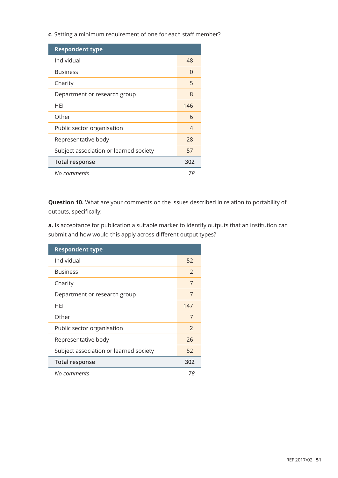**c.** Setting a minimum requirement of one for each staff member?

| <b>Respondent type</b>                 |     |
|----------------------------------------|-----|
| Individual                             | 48  |
| <b>Business</b>                        | O   |
| Charity                                | 5   |
| Department or research group           | 8   |
| HFI                                    | 146 |
| Other                                  | 6   |
| Public sector organisation             | 4   |
| Representative body                    | 28  |
| Subject association or learned society | 57  |
| <b>Total response</b>                  | 302 |
| No comments                            | 78  |

**Question 10.** What are your comments on the issues described in relation to portability of outputs, specifically:

**a.** Is acceptance for publication a suitable marker to identify outputs that an institution can submit and how would this apply across different output types?

| <b>Respondent type</b>                 |               |
|----------------------------------------|---------------|
| Individual                             | 52            |
| <b>Business</b>                        | $\mathcal{P}$ |
| Charity                                | 7             |
| Department or research group           | 7             |
| <b>HFI</b>                             | 147           |
| Other                                  | 7             |
| Public sector organisation             | $\mathcal{P}$ |
| Representative body                    | 26            |
| Subject association or learned society | 52            |
| <b>Total response</b>                  | 302           |
| No comments                            | 78            |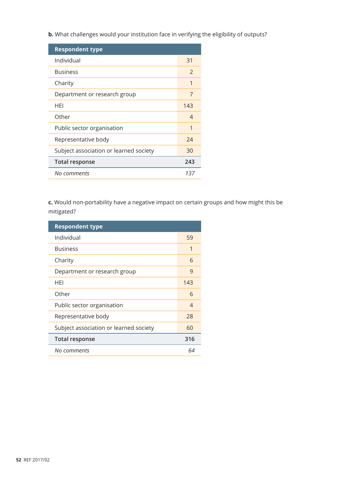**b.** What challenges would your institution face in verifying the eligibility of outputs?

| <b>Respondent type</b>                 |     |
|----------------------------------------|-----|
| Individual                             | 31  |
| <b>Business</b>                        | 2   |
| Charity                                | 1   |
| Department or research group           | 7   |
| HFI                                    | 143 |
| Other                                  | 4   |
| Public sector organisation             | 1   |
| Representative body                    | 24  |
| Subject association or learned society | 30  |
| <b>Total response</b>                  | 243 |
| No comments                            | 137 |

**c.** Would non-portability have a negative impact on certain groups and how might this be mitigated?

| <b>Respondent type</b>                 |     |
|----------------------------------------|-----|
| Individual                             | 59  |
| <b>Business</b>                        | 1   |
| Charity                                | 6   |
| Department or research group           | 9   |
| HEI                                    | 143 |
| Other                                  | 6   |
| Public sector organisation             | 4   |
| Representative body                    | 28  |
| Subject association or learned society | 60  |
| <b>Total response</b>                  | 316 |
| No comments                            | 64  |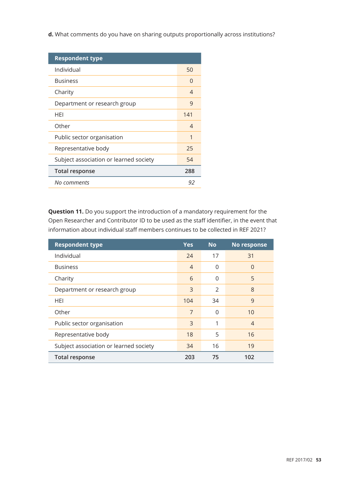**d.** What comments do you have on sharing outputs proportionally across institutions?

| <b>Respondent type</b>                 |                          |
|----------------------------------------|--------------------------|
| Individual                             | 50                       |
| <b>Business</b>                        | O                        |
| Charity                                | 4                        |
| Department or research group           | 9                        |
| HFI                                    | 141                      |
| Other                                  | $\overline{\mathcal{A}}$ |
| Public sector organisation             | 1                        |
| Representative body                    | 25                       |
| Subject association or learned society | 54                       |
| <b>Total response</b>                  | 288                      |
| No comments                            | 92                       |

**Question 11.** Do you support the introduction of a mandatory requirement for the Open Researcher and Contributor ID to be used as the staff identifier, in the event that information about individual staff members continues to be collected in REF 2021?

| <b>Respondent type</b>                 | <b>Yes</b>     | <b>No</b>      | No response    |
|----------------------------------------|----------------|----------------|----------------|
| Individual                             | 24             | 17             | 31             |
| <b>Business</b>                        | $\overline{4}$ | 0              | 0              |
| Charity                                | 6              | 0              | 5              |
| Department or research group           | 3              | 2              | 8              |
| HEI                                    | 104            | 34             | 9              |
| Other                                  | 7              | $\overline{0}$ | 10             |
| Public sector organisation             | 3              | 1              | $\overline{4}$ |
| Representative body                    | 18             | 5              | 16             |
| Subject association or learned society | 34             | 16             | 19             |
| <b>Total response</b>                  | 203            | 75             | 102            |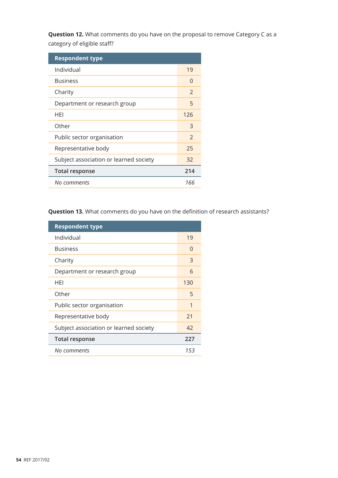**Question 12.** What comments do you have on the proposal to remove Category C as a category of eligible staff?

| <b>Respondent type</b>                 |               |
|----------------------------------------|---------------|
| Individual                             | 19            |
| <b>Business</b>                        | O             |
| Charity                                | $\mathcal{P}$ |
| Department or research group           | 5             |
| HEI                                    | 126           |
| Other                                  | 3             |
| Public sector organisation             | $\mathcal{P}$ |
| Representative body                    | 25            |
| Subject association or learned society | 32            |
| <b>Total response</b>                  | 214           |
| No comments                            | 166           |

**Question 13.** What comments do you have on the definition of research assistants?

| <b>Respondent type</b>                 |     |
|----------------------------------------|-----|
| Individual                             | 19  |
| <b>Business</b>                        | O   |
| Charity                                | 3   |
| Department or research group           | 6   |
| <b>HFI</b>                             | 130 |
| Other                                  | 5   |
| Public sector organisation             | 1   |
| Representative body                    | 21  |
| Subject association or learned society | 42  |
| <b>Total response</b>                  | 227 |
| No comments                            | 153 |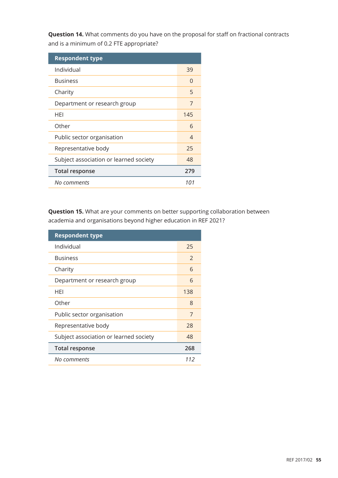**Question 14.** What comments do you have on the proposal for staff on fractional contracts and is a minimum of 0.2 FTE appropriate?

| <b>Respondent type</b>                 |     |
|----------------------------------------|-----|
| Individual                             | 39  |
| <b>Business</b>                        | O   |
| Charity                                | 5   |
| Department or research group           | 7   |
| HEI                                    | 145 |
| Other                                  | 6   |
| Public sector organisation             | 4   |
| Representative body                    | 25  |
| Subject association or learned society | 48  |
| <b>Total response</b>                  | 279 |
| No comments                            | 101 |

**Question 15.** What are your comments on better supporting collaboration between academia and organisations beyond higher education in REF 2021?

| <b>Respondent type</b>                 |               |
|----------------------------------------|---------------|
| Individual                             | 25            |
| <b>Business</b>                        | $\mathcal{P}$ |
| Charity                                | 6             |
| Department or research group           | 6             |
| HEI                                    | 138           |
| Other                                  | 8             |
| Public sector organisation             | 7             |
| Representative body                    | 28            |
| Subject association or learned society | 48            |
| <b>Total response</b>                  | 268           |
| No comments                            | 112           |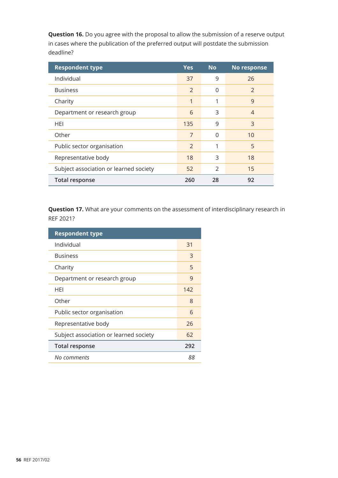**Question 16.** Do you agree with the proposal to allow the submission of a reserve output in cases where the publication of the preferred output will postdate the submission deadline?

| <b>Respondent type</b>                 | <b>Yes</b>     | <b>No</b>     | No response    |
|----------------------------------------|----------------|---------------|----------------|
| Individual                             | 37             | 9             | 26             |
| <b>Business</b>                        | $\overline{2}$ | 0             | $\mathcal{P}$  |
| Charity                                |                | 1             | 9              |
| Department or research group           | 6              | 3             | $\overline{4}$ |
| <b>HEI</b>                             | 135            | 9             | 3              |
| Other                                  | 7              | $\Omega$      | 10             |
| Public sector organisation             | $\mathcal{P}$  | 1             | 5              |
| Representative body                    | 18             | 3             | 18             |
| Subject association or learned society | 52             | $\mathcal{P}$ | 15             |
| <b>Total response</b>                  | 260            | 28            | 92             |

**Question 17.** What are your comments on the assessment of interdisciplinary research in REF 2021?

| <b>Respondent type</b>                 |     |
|----------------------------------------|-----|
| Individual                             | 31  |
| <b>Business</b>                        | 3   |
| Charity                                | 5   |
| Department or research group           | 9   |
| HEI                                    | 142 |
| Other                                  | 8   |
| Public sector organisation             | 6   |
| Representative body                    | 26  |
| Subject association or learned society | 62  |
| <b>Total response</b>                  | 292 |
| No comments                            | 88  |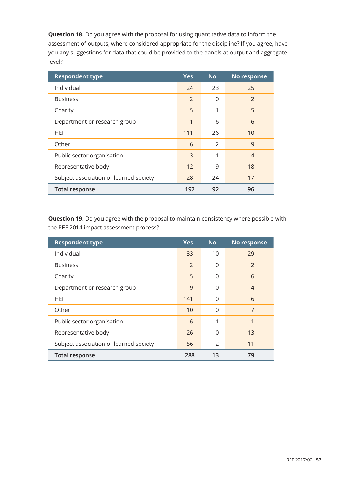**Question 18.** Do you agree with the proposal for using quantitative data to inform the assessment of outputs, where considered appropriate for the discipline? If you agree, have you any suggestions for data that could be provided to the panels at output and aggregate level?

| <b>Respondent type</b>                 | <b>Yes</b>     | <b>No</b>     | No response    |
|----------------------------------------|----------------|---------------|----------------|
| Individual                             | 24             | 23            | 25             |
| <b>Business</b>                        | $\overline{2}$ | 0             | $\mathcal{P}$  |
| Charity                                | 5              | 1             | 5              |
| Department or research group           | 1              | 6             | 6              |
| HEI                                    | 111            | 26            | 10             |
| Other                                  | 6              | $\mathcal{P}$ | 9              |
| Public sector organisation             | 3              | 1             | $\overline{4}$ |
| Representative body                    | 12             | 9             | 18             |
| Subject association or learned society | 28             | 24            | 17             |
| <b>Total response</b>                  | 192            | 92            | 96             |

**Question 19.** Do you agree with the proposal to maintain consistency where possible with the REF 2014 impact assessment process?

| <b>Respondent type</b>                 | <b>Yes</b>    | <b>No</b>     | No response    |
|----------------------------------------|---------------|---------------|----------------|
| Individual                             | 33            | 10            | 29             |
| <b>Business</b>                        | $\mathcal{P}$ | 0             | $\mathcal{P}$  |
| Charity                                | 5             | 0             | 6              |
| Department or research group           | 9             | $\Omega$      | $\overline{4}$ |
| HEI                                    | 141           | 0             | 6              |
| Other                                  | 10            | 0             | 7              |
| Public sector organisation             | 6             | 1             | 1              |
| Representative body                    | 26            | $\Omega$      | 13             |
| Subject association or learned society | 56            | $\mathcal{P}$ | 11             |
| <b>Total response</b>                  | 288           | 13            | 79             |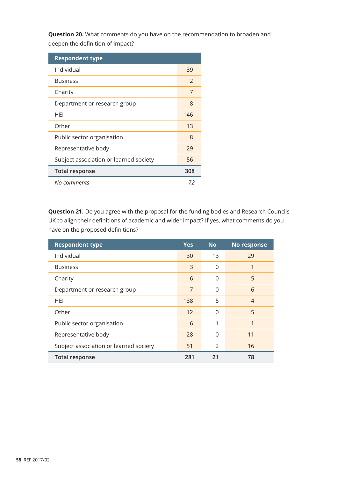**Question 20.** What comments do you have on the recommendation to broaden and deepen the definition of impact?

| <b>Respondent type</b>                 |     |
|----------------------------------------|-----|
| Individual                             | 39  |
| <b>Business</b>                        | 2   |
| Charity                                | 7   |
| Department or research group           | 8   |
| HFI                                    | 146 |
| Other                                  | 13  |
| Public sector organisation             | 8   |
| Representative body                    | 29  |
| Subject association or learned society | 56  |
| <b>Total response</b>                  | 308 |
| No comments                            | 72  |

**Question 21.** Do you agree with the proposal for the funding bodies and Research Councils UK to align their definitions of academic and wider impact? If yes, what comments do you have on the proposed definitions?

| <b>Respondent type</b>                 | <b>Yes</b> | <b>No</b> | No response    |
|----------------------------------------|------------|-----------|----------------|
| Individual                             | 30         | 13        | 29             |
| <b>Business</b>                        | 3          | $\Omega$  |                |
| Charity                                | 6          | $\Omega$  | 5              |
| Department or research group           | 7          | $\Omega$  | 6              |
| <b>HEI</b>                             | 138        | 5         | $\overline{4}$ |
| Other                                  | 12         | $\Omega$  | 5              |
| Public sector organisation             | 6          | 1         | 1              |
| Representative body                    | 28         | $\Omega$  | 11             |
| Subject association or learned society | 51         | 2         | 16             |
| <b>Total response</b>                  | 281        | 21        | 78             |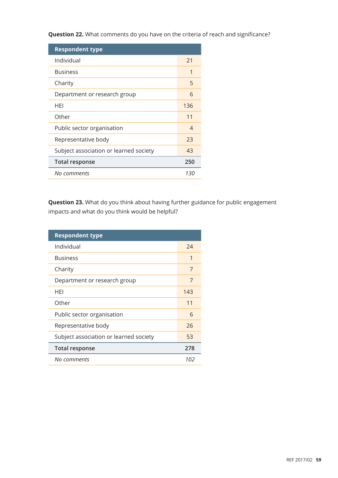**Question 22.** What comments do you have on the criteria of reach and significance?

| <b>Respondent type</b>                 |     |
|----------------------------------------|-----|
| Individual                             | 21  |
| <b>Business</b>                        | 1   |
| Charity                                | 5   |
| Department or research group           | 6   |
| HFI                                    | 136 |
| Other                                  | 11  |
| Public sector organisation             | 4   |
| Representative body                    | 23  |
| Subject association or learned society | 43  |
| <b>Total response</b>                  | 250 |
| No comments                            | 130 |

**Question 23.** What do you think about having further guidance for public engagement impacts and what do you think would be helpful?

| <b>Respondent type</b>                 |     |
|----------------------------------------|-----|
| Individual                             | 74  |
| <b>Business</b>                        | 1   |
| Charity                                | 7   |
| Department or research group           | 7   |
| HEI                                    | 143 |
| Other                                  | 11  |
| Public sector organisation             | 6   |
| Representative body                    | 26  |
| Subject association or learned society | 53  |
| <b>Total response</b>                  | 278 |
| No comments                            | 102 |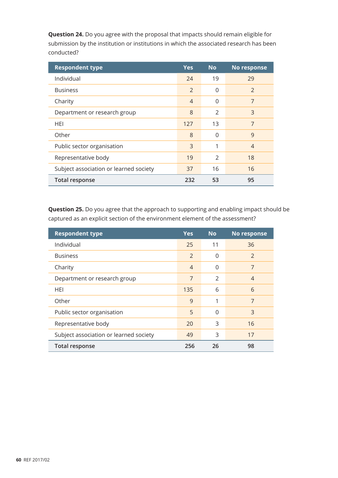**Question 24.** Do you agree with the proposal that impacts should remain eligible for submission by the institution or institutions in which the associated research has been conducted?

| <b>Respondent type</b>                 | <b>Yes</b>     | <b>No</b>     | No response   |
|----------------------------------------|----------------|---------------|---------------|
| Individual                             | 24             | 19            | 29            |
| <b>Business</b>                        | $\overline{2}$ | 0             | $\mathcal{P}$ |
| Charity                                | $\overline{4}$ | 0             | 7             |
| Department or research group           | 8              | $\mathcal{P}$ | 3             |
| <b>HEI</b>                             | 127            | 13            | 7             |
| Other                                  | 8              | 0             | 9             |
| Public sector organisation             | 3              | 1             | 4             |
| Representative body                    | 19             | $\mathcal{P}$ | 18            |
| Subject association or learned society | 37             | 16            | 16            |
| <b>Total response</b>                  | 232            | 53            | 95            |

**Question 25.** Do you agree that the approach to supporting and enabling impact should be captured as an explicit section of the environment element of the assessment?

| <b>Respondent type</b>                 | <b>Yes</b>     | <b>No</b>     | No response    |
|----------------------------------------|----------------|---------------|----------------|
| Individual                             | 25             | 11            | 36             |
| <b>Business</b>                        | 2              | 0             | 2              |
| Charity                                | $\overline{4}$ | 0             | 7              |
| Department or research group           | 7              | $\mathcal{P}$ | $\overline{4}$ |
| HEI                                    | 135            | 6             | 6              |
| Other                                  | 9              | 1             | 7              |
| Public sector organisation             | 5              | $\Omega$      | 3              |
| Representative body                    | 20             | 3             | 16             |
| Subject association or learned society | 49             | 3             | 17             |
| <b>Total response</b>                  | 256            | 26            | 98             |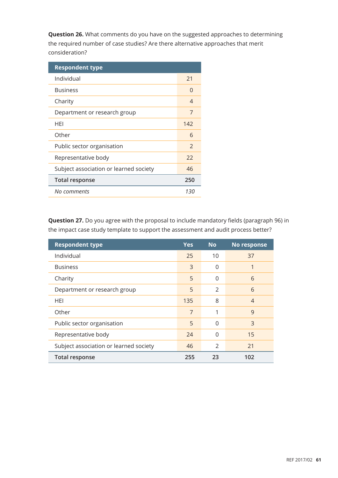**Question 26.** What comments do you have on the suggested approaches to determining the required number of case studies? Are there alternative approaches that merit consideration?

| <b>Respondent type</b>                 |               |
|----------------------------------------|---------------|
| Individual                             | 21            |
| <b>Business</b>                        | O             |
| Charity                                | 4             |
| Department or research group           | 7             |
| HEI                                    | 142           |
| Other                                  | 6             |
| Public sector organisation             | $\mathcal{P}$ |
| Representative body                    | 22            |
| Subject association or learned society | 46            |
| <b>Total response</b>                  | 250           |
| No comments                            | 130           |

**Question 27.** Do you agree with the proposal to include mandatory fields (paragraph 96) in the impact case study template to support the assessment and audit process better?

| <b>Respondent type</b>                 | <b>Yes</b>     | <b>No</b>     | No response |
|----------------------------------------|----------------|---------------|-------------|
| Individual                             | 25             | 10            | 37          |
| <b>Business</b>                        | 3              | 0             |             |
| Charity                                | 5              | 0             | 6           |
| Department or research group           | 5              | 2             | 6           |
| HEI                                    | 135            | 8             | 4           |
| Other                                  | $\overline{7}$ | 1             | 9           |
| Public sector organisation             | 5              | $\Omega$      | 3           |
| Representative body                    | 24             | 0             | 15          |
| Subject association or learned society | 46             | $\mathcal{P}$ | 21          |
| <b>Total response</b>                  | 255            | 23            | 102         |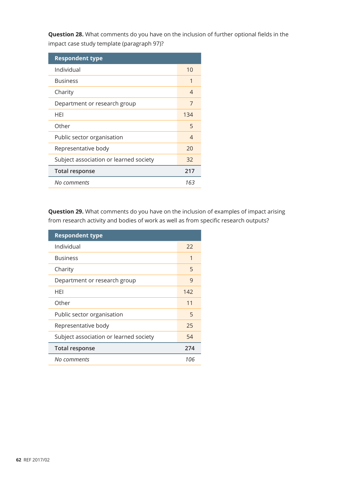**Question 28.** What comments do you have on the inclusion of further optional fields in the impact case study template (paragraph 97)?

| <b>Respondent type</b>                 |     |
|----------------------------------------|-----|
| Individual                             | 10  |
| <b>Business</b>                        | 1   |
| Charity                                | 4   |
| Department or research group           | 7   |
| HFI                                    | 134 |
| Other                                  | 5   |
| Public sector organisation             | 4   |
| Representative body                    | 20  |
| Subject association or learned society | 32  |
| <b>Total response</b>                  | 217 |
| No comments                            | 163 |

**Question 29.** What comments do you have on the inclusion of examples of impact arising from research activity and bodies of work as well as from specific research outputs?

| <b>Respondent type</b>                 |     |
|----------------------------------------|-----|
| Individual                             | 22  |
| <b>Business</b>                        | 1   |
| Charity                                | 5   |
| Department or research group           | 9   |
| <b>HFI</b>                             | 142 |
| Other                                  | 11  |
| Public sector organisation             | 5   |
| Representative body                    | 25  |
| Subject association or learned society | 54  |
| <b>Total response</b>                  | 274 |
| No comments                            | 106 |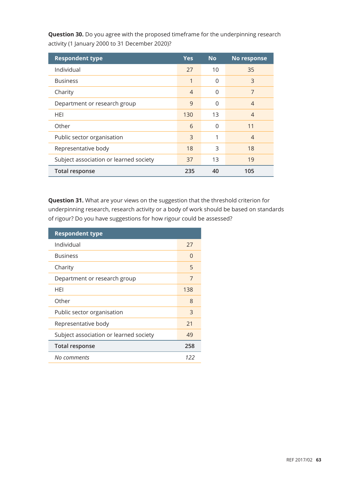| <b>Respondent type</b>                 | <b>Yes</b>     | <b>No</b> | No response    |
|----------------------------------------|----------------|-----------|----------------|
| Individual                             | 27             | 10        | 35             |
| <b>Business</b>                        | 1              | 0         | 3              |
| Charity                                | $\overline{4}$ | 0         | 7              |
| Department or research group           | 9              | 0         | $\overline{4}$ |
| HEI                                    | 130            | 13        | $\overline{4}$ |
| Other                                  | 6              | $\Omega$  | 11             |
| Public sector organisation             | 3              | 1         | $\overline{4}$ |
| Representative body                    | 18             | 3         | 18             |
| Subject association or learned society | 37             | 13        | 19             |
| <b>Total response</b>                  | 235            | 40        | 105            |

**Question 30.** Do you agree with the proposed timeframe for the underpinning research activity (1 January 2000 to 31 December 2020)?

**Question 31.** What are your views on the suggestion that the threshold criterion for underpinning research, research activity or a body of work should be based on standards of rigour? Do you have suggestions for how rigour could be assessed?

| <b>Respondent type</b>                 |          |
|----------------------------------------|----------|
| Individual                             | 27       |
| <b>Business</b>                        | $\Omega$ |
| Charity                                | 5        |
| Department or research group           | 7        |
| HEI                                    | 138      |
| Other                                  | 8        |
| Public sector organisation             | 3        |
| Representative body                    | 21       |
| Subject association or learned society | 49       |
| <b>Total response</b>                  | 258      |
| No comments                            | 122      |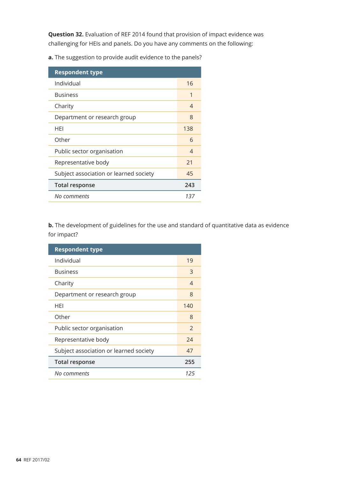**Question 32.** Evaluation of REF 2014 found that provision of impact evidence was challenging for HEIs and panels. Do you have any comments on the following:

**a.** The suggestion to provide audit evidence to the panels?

| <b>Respondent type</b>                 |          |
|----------------------------------------|----------|
| Individual                             | 16       |
| <b>Business</b>                        | 1        |
| Charity                                | 4        |
| Department or research group           | 8        |
| HEI                                    | 138      |
| Other                                  | 6        |
| Public sector organisation             | $\Delta$ |
| Representative body                    | 21       |
| Subject association or learned society | 45       |
| <b>Total response</b>                  | 243      |
| No comments                            | 137      |

**b.** The development of guidelines for the use and standard of quantitative data as evidence for impact?

| <b>Respondent type</b>                 |               |
|----------------------------------------|---------------|
| Individual                             | 19            |
| <b>Business</b>                        | 3             |
| Charity                                | 4             |
| Department or research group           | 8             |
| HEI                                    | 140           |
| Other                                  | 8             |
| Public sector organisation             | $\mathcal{P}$ |
| Representative body                    | 24            |
| Subject association or learned society | 47            |
| <b>Total response</b>                  | 255           |
| No comments                            | 125           |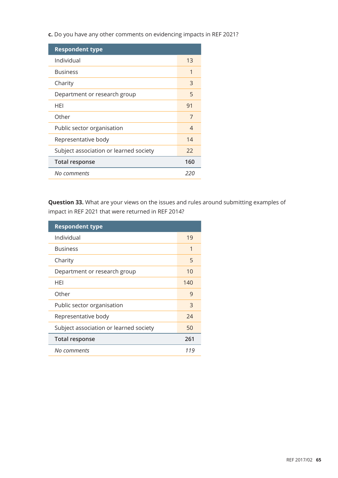**c.** Do you have any other comments on evidencing impacts in REF 2021?

| <b>Respondent type</b>                 |     |
|----------------------------------------|-----|
| Individual                             | 13  |
| <b>Business</b>                        | 1   |
| Charity                                | 3   |
| Department or research group           | 5   |
| HEI                                    | 91  |
| Other                                  | 7   |
| Public sector organisation             | 4   |
| Representative body                    | 14  |
| Subject association or learned society | 22  |
| <b>Total response</b>                  | 160 |
| No comments                            | 220 |

**Question 33.** What are your views on the issues and rules around submitting examples of impact in REF 2021 that were returned in REF 2014?

| <b>Respondent type</b>                 |     |
|----------------------------------------|-----|
| Individual                             | 19  |
| <b>Business</b>                        | 1   |
| Charity                                | 5   |
| Department or research group           | 10  |
| HFI                                    | 140 |
| Other                                  | 9   |
| Public sector organisation             | 3   |
| Representative body                    | 24  |
| Subject association or learned society | 50  |
| <b>Total response</b>                  | 261 |
| No comments                            | 119 |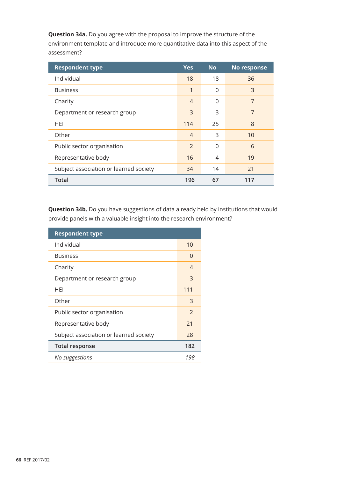**Question 34a.** Do you agree with the proposal to improve the structure of the environment template and introduce more quantitative data into this aspect of the assessment?

| <b>Respondent type</b>                 | <b>Yes</b>     | <b>No</b> | No response |
|----------------------------------------|----------------|-----------|-------------|
| Individual                             | 18             | 18        | 36          |
| <b>Business</b>                        | 1              | 0         | 3           |
| Charity                                | $\overline{4}$ | 0         | 7           |
| Department or research group           | 3              | 3         | 7           |
| <b>HEI</b>                             | 114            | 25        | 8           |
| Other                                  | $\overline{4}$ | 3         | 10          |
| Public sector organisation             | 2              | $\Omega$  | 6           |
| Representative body                    | 16             | 4         | 19          |
| Subject association or learned society | 34             | 14        | 21          |
| <b>Total</b>                           | 196            | 67        | 117         |

**Question 34b.** Do you have suggestions of data already held by institutions that would provide panels with a valuable insight into the research environment?

| <b>Respondent type</b>                 |               |  |
|----------------------------------------|---------------|--|
| Individual                             | 10            |  |
| <b>Business</b>                        | 0             |  |
| Charity                                | 4             |  |
| Department or research group           | 3             |  |
| HFI                                    | 111           |  |
| Other                                  | 3             |  |
| Public sector organisation             | $\mathcal{P}$ |  |
| Representative body                    | 21            |  |
| Subject association or learned society | 28            |  |
| <b>Total response</b>                  | 182           |  |
| No suggestions                         | 198           |  |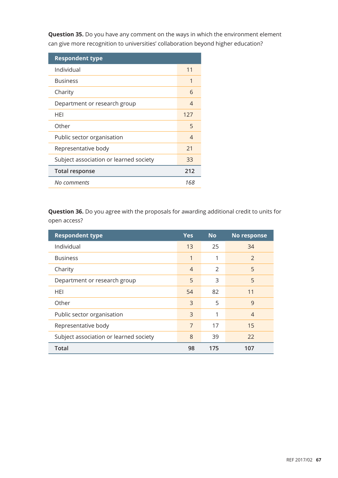**Question 35.** Do you have any comment on the ways in which the environment element can give more recognition to universities' collaboration beyond higher education?

| <b>Respondent type</b>                 |     |
|----------------------------------------|-----|
| Individual                             | 11  |
| <b>Business</b>                        | 1   |
| Charity                                | 6   |
| Department or research group           | 4   |
| HEI                                    | 127 |
| Other                                  | 5   |
| Public sector organisation             | 4   |
| Representative body                    | 21  |
| Subject association or learned society | 33  |
| <b>Total response</b>                  | 212 |
| No comments                            | 168 |

**Question 36.** Do you agree with the proposals for awarding additional credit to units for open access?

| <b>Respondent type</b>                 | <b>Yes</b>     | <b>No</b> | No response    |
|----------------------------------------|----------------|-----------|----------------|
| Individual                             | 13             | 25        | 34             |
| <b>Business</b>                        | 1              | 1         | $\mathcal{P}$  |
| Charity                                | $\overline{4}$ | 2         | 5              |
| Department or research group           | 5              | 3         | 5              |
| HEI                                    | 54             | 82        | 11             |
| Other                                  | 3              | 5         | 9              |
| Public sector organisation             | 3              | 1         | $\overline{4}$ |
| Representative body                    | 7              | 17        | 15             |
| Subject association or learned society | 8              | 39        | 22             |
| <b>Total</b>                           | 98             | 175       | 107            |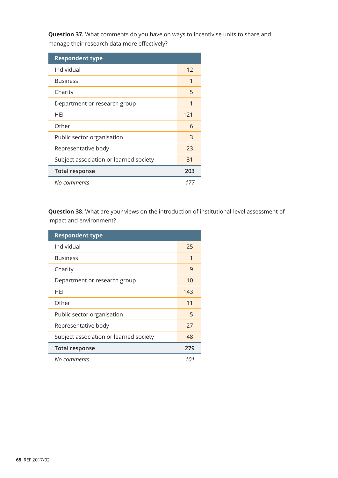**Question 37.** What comments do you have on ways to incentivise units to share and manage their research data more effectively?

| <b>Respondent type</b>                 |     |
|----------------------------------------|-----|
| Individual                             | 12  |
| <b>Business</b>                        | 1   |
| Charity                                | 5   |
| Department or research group           | 1   |
| HFI                                    | 121 |
| Other                                  | 6   |
| Public sector organisation             | 3   |
| Representative body                    | 23  |
| Subject association or learned society | 31  |
| <b>Total response</b>                  | 203 |
| No comments                            | 17. |

**Question 38.** What are your views on the introduction of institutional-level assessment of impact and environment?

| <b>Respondent type</b>                 |     |
|----------------------------------------|-----|
| Individual                             | 25  |
| <b>Business</b>                        | 1   |
| Charity                                | 9   |
| Department or research group           | 10  |
| HFI                                    | 143 |
| Other                                  | 11  |
| Public sector organisation             | 5   |
| Representative body                    | 27  |
| Subject association or learned society | 48  |
| <b>Total response</b>                  | 279 |
| No comments                            | 101 |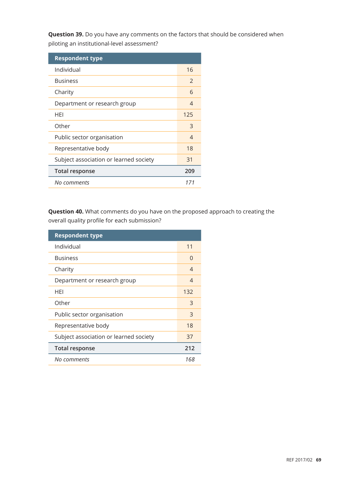**Question 39.** Do you have any comments on the factors that should be considered when piloting an institutional-level assessment?

| <b>Respondent type</b>                 |               |
|----------------------------------------|---------------|
| Individual                             | 16            |
| <b>Business</b>                        | $\mathcal{P}$ |
| Charity                                | 6             |
| Department or research group           | 4             |
| HEI                                    | 125           |
| Other                                  | 3             |
| Public sector organisation             | 4             |
| Representative body                    | 18            |
| Subject association or learned society | 31            |
| <b>Total response</b>                  | 209           |
| No comments                            | 171           |

**Question 40.** What comments do you have on the proposed approach to creating the overall quality profile for each submission?

| <b>Respondent type</b>                 |     |
|----------------------------------------|-----|
| Individual                             | 11  |
| <b>Business</b>                        | 0   |
| Charity                                | 4   |
| Department or research group           | 4   |
| HEI                                    | 132 |
| Other                                  | 3   |
| Public sector organisation             | 3   |
| Representative body                    | 18  |
| Subject association or learned society | 37  |
| <b>Total response</b>                  | 212 |
| No comments                            | 168 |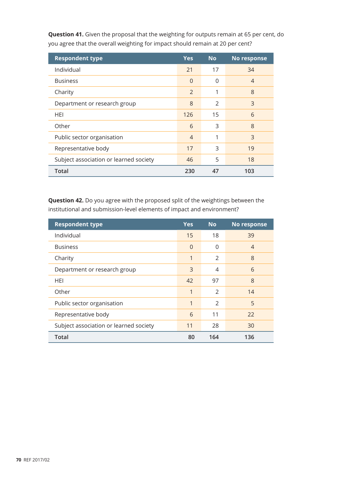| <b>Respondent type</b>                 | <b>Yes</b>     | <b>No</b>     | No response    |
|----------------------------------------|----------------|---------------|----------------|
| Individual                             | 21             | 17            | 34             |
| <b>Business</b>                        | $\Omega$       | 0             | $\overline{4}$ |
| Charity                                | 2              | 1             | 8              |
| Department or research group           | 8              | $\mathcal{P}$ | 3              |
| HEI                                    | 126            | 15            | 6              |
| Other                                  | 6              | 3             | 8              |
| Public sector organisation             | $\overline{4}$ | 1             | 3              |
| Representative body                    | 17             | 3             | 19             |
| Subject association or learned society | 46             | 5             | 18             |
| <b>Total</b>                           | 230            | 47            | 103            |

**Question 41.** Given the proposal that the weighting for outputs remain at 65 per cent, do you agree that the overall weighting for impact should remain at 20 per cent?

**Question 42.** Do you agree with the proposed split of the weightings between the institutional and submission-level elements of impact and environment?

| <b>Respondent type</b>                 | <b>Yes</b> | <b>No</b>     | No response    |
|----------------------------------------|------------|---------------|----------------|
| Individual                             | 15         | 18            | 39             |
| <b>Business</b>                        | $\Omega$   | $\Omega$      | $\overline{4}$ |
| Charity                                | 1          | 2             | 8              |
| Department or research group           | 3          | 4             | 6              |
| HEI                                    | 42         | 97            | 8              |
| Other                                  | 1          | 2             | 14             |
| Public sector organisation             | 1          | $\mathcal{P}$ | 5              |
| Representative body                    | 6          | 11            | 22             |
| Subject association or learned society | 11         | 28            | 30             |
| <b>Total</b>                           | 80         | 164           | 136            |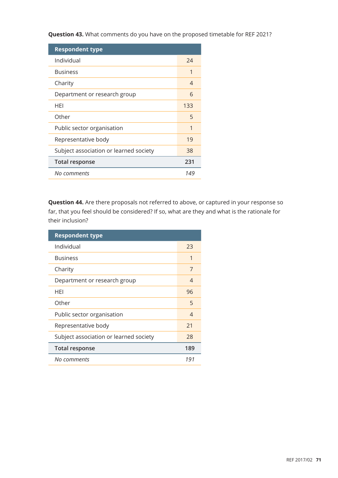**Question 43.** What comments do you have on the proposed timetable for REF 2021?

| <b>Respondent type</b>                 |     |
|----------------------------------------|-----|
| Individual                             | 24  |
| <b>Business</b>                        | 1   |
| Charity                                | 4   |
| Department or research group           | 6   |
| HFI                                    | 133 |
| Other                                  | 5   |
| Public sector organisation             | 1   |
| Representative body                    | 19  |
| Subject association or learned society | 38  |
| <b>Total response</b>                  | 231 |
| No comments                            | 149 |

**Question 44.** Are there proposals not referred to above, or captured in your response so far, that you feel should be considered? If so, what are they and what is the rationale for their inclusion?

| <b>Respondent type</b>                 |     |
|----------------------------------------|-----|
| Individual                             | 23  |
| <b>Business</b>                        | 1   |
| Charity                                | 7   |
| Department or research group           | 4   |
| HEI                                    | 96  |
| Other                                  | 5   |
| Public sector organisation             | 4   |
| Representative body                    | 21  |
| Subject association or learned society | 28  |
| <b>Total response</b>                  | 189 |
| No comments                            | 191 |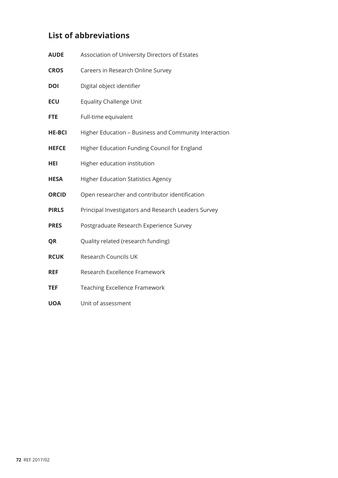## **List of abbreviations**

| <b>AUDE</b>   | Association of University Directors of Estates        |
|---------------|-------------------------------------------------------|
| <b>CROS</b>   | Careers in Research Online Survey                     |
| <b>DOI</b>    | Digital object identifier                             |
| <b>ECU</b>    | <b>Equality Challenge Unit</b>                        |
| <b>FTE</b>    | Full-time equivalent                                  |
| <b>HE-BCI</b> | Higher Education - Business and Community Interaction |
| <b>HEFCE</b>  | Higher Education Funding Council for England          |
| HEI           | Higher education institution                          |
| <b>HESA</b>   | <b>Higher Education Statistics Agency</b>             |
| <b>ORCID</b>  | Open researcher and contributor identification        |
| <b>PIRLS</b>  | Principal Investigators and Research Leaders Survey   |
| <b>PRES</b>   | Postgraduate Research Experience Survey               |
| QR            | Quality related (research funding)                    |
| <b>RCUK</b>   | Research Councils UK                                  |
| <b>REF</b>    | Research Excellence Framework                         |
| TEF           | Teaching Excellence Framework                         |
| <b>UOA</b>    | Unit of assessment                                    |